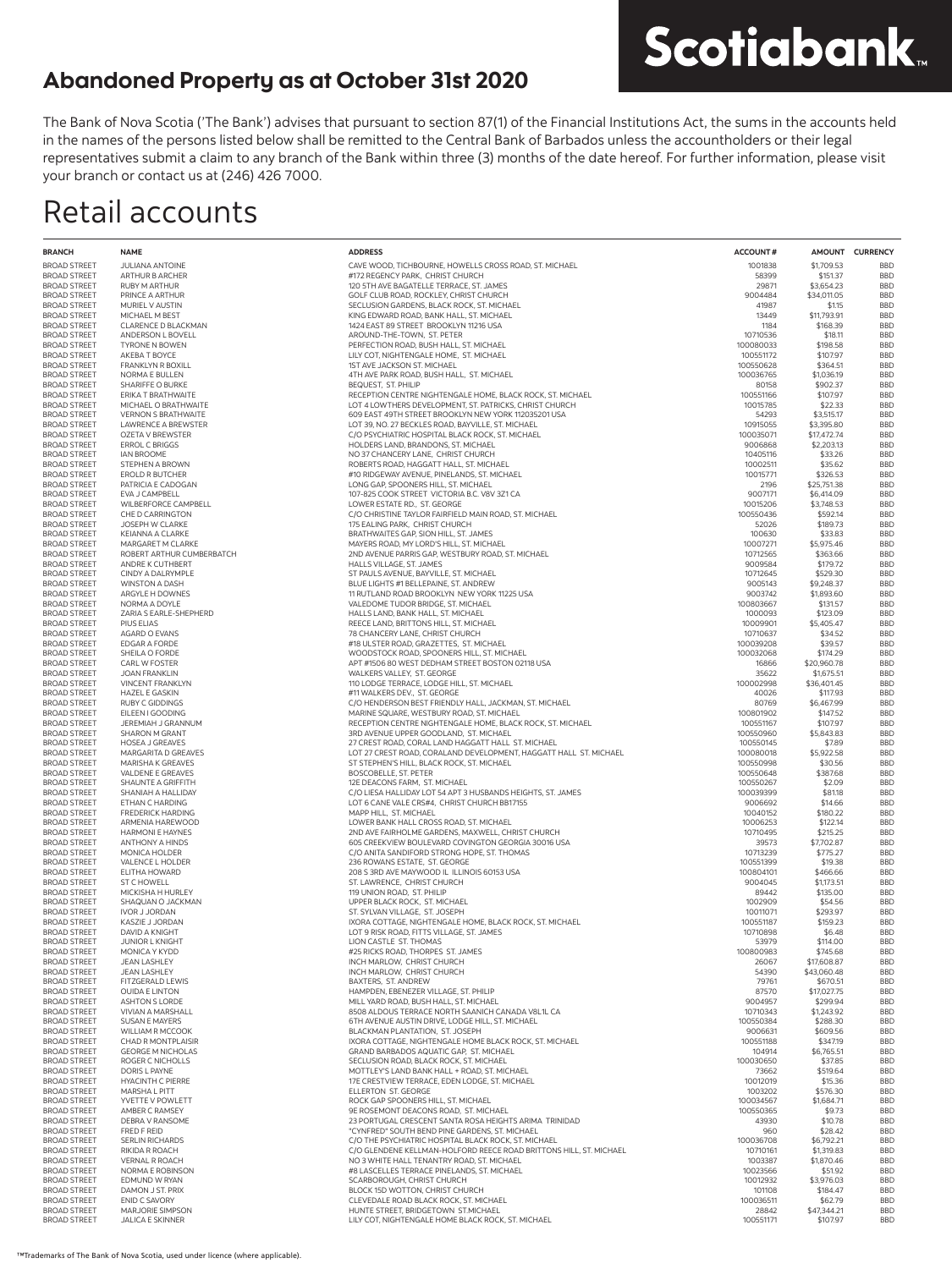The Bank of Nova Scotia ('The Bank') advises that pursuant to section 87(1) of the Financial Institutions Act, the sums in the accounts held in the names of the persons listed below shall be remitted to the Central Bank of Barbados unless the accountholders or their legal representatives submit a claim to any branch of the Bank within three (3) months of the date hereof. For further information, please visit your branch or contact us at (246) 426 7000.

**Scotiabank** 

### Retail accounts

| <b>BRANCH</b>                              | <b>NAME</b>                                | <b>ADDRESS</b>                                                                                                             | <b>ACCOUNT#</b>        |                           | AMOUNT CURRENCY          |
|--------------------------------------------|--------------------------------------------|----------------------------------------------------------------------------------------------------------------------------|------------------------|---------------------------|--------------------------|
| <b>BROAD STREET</b>                        | <b>JULIANA ANTOINE</b>                     | CAVE WOOD, TICHBOURNE, HOWELLS CROSS ROAD, ST. MICHAEL                                                                     | 1001838                | \$1,709.53                | <b>BBD</b>               |
| <b>BROAD STREET</b>                        | ARTHUR B ARCHER                            | #172 REGENCY PARK, CHRIST CHURCH                                                                                           | 58399                  | \$151.37                  | <b>BBD</b>               |
| <b>BROAD STREET</b>                        | <b>RUBY M ARTHUR</b>                       | 120 5TH AVE BAGATELLE TERRACE, ST. JAMES                                                                                   | 29871                  | \$3,654.23                | <b>BBD</b>               |
| <b>BROAD STREET</b>                        | PRINCE A ARTHUR                            | GOLF CLUB ROAD, ROCKLEY, CHRIST CHURCH                                                                                     | 9004484                | \$34,011.05               | <b>BBD</b>               |
| <b>BROAD STREET</b>                        | MURIEL V AUSTIN                            | SECLUSION GARDENS, BLACK ROCK, ST. MICHAEL                                                                                 | 41987                  | \$1.15                    | <b>BBD</b>               |
| <b>BROAD STREET</b>                        | MICHAEL M BEST                             | KING EDWARD ROAD, BANK HALL, ST. MICHAEL                                                                                   | 13449                  | \$11,793.91               | <b>BBD</b>               |
| <b>BROAD STREET</b>                        | CLARENCE D BLACKMAN                        | 1424 EAST 89 STREET BROOKLYN 11216 USA                                                                                     | 1184                   | \$168.39                  | <b>BBD</b>               |
| <b>BROAD STREET</b><br><b>BROAD STREET</b> | ANDERSON L BOVELL<br><b>TYRONE N BOWEN</b> | AROUND-THE-TOWN, ST. PETER<br>PERFECTION ROAD, BUSH HALL, ST. MICHAEL                                                      | 10710536<br>100080033  | \$18.11<br>\$198.58       | <b>BBD</b><br><b>BBD</b> |
| <b>BROAD STREET</b>                        | AKEBA T BOYCE                              | LILY COT, NIGHTENGALE HOME, ST. MICHAEL                                                                                    | 100551172              | \$107.97                  | <b>BBD</b>               |
| <b>BROAD STREET</b>                        | <b>FRANKLYN R BOXILL</b>                   | 1ST AVE JACKSON ST. MICHAEL                                                                                                | 100550628              | \$364.51                  | <b>BBD</b>               |
| <b>BROAD STREET</b>                        | NORMA E BULLEN                             | 4TH AVE PARK ROAD, BUSH HALL, ST. MICHAEL                                                                                  | 100036765              | \$1,036.19                | <b>BBD</b>               |
| <b>BROAD STREET</b>                        | SHARIFFE O BURKE                           | BEQUEST, ST. PHILIP                                                                                                        | 80158                  | \$902.37                  | <b>BBD</b>               |
| <b>BROAD STREET</b>                        | ERIKA T BRATHWAITE                         | RECEPTION CENTRE NIGHTENGALE HOME, BLACK ROCK, ST. MICHAEL                                                                 | 100551166              | \$107.97                  | <b>BBD</b>               |
| <b>BROAD STREET</b>                        | MICHAEL O BRATHWAITE                       | LOT 4 LOWTHERS DEVELOPMENT, ST. PATRICKS, CHRIST CHURCH                                                                    | 10015785               | \$22.33                   | <b>BBD</b>               |
| <b>BROAD STREET</b>                        | <b>VERNON S BRATHWAITE</b>                 | 609 EAST 49TH STREET BROOKLYN NEW YORK 112035201 USA                                                                       | 54293                  | \$3,515.17                | <b>BBD</b>               |
| <b>BROAD STREET</b><br><b>BROAD STREET</b> | LAWRENCE A BREWSTER                        | LOT 39, NO. 27 BECKLES ROAD, BAYVILLE, ST. MICHAEL<br>C/O PSYCHIATRIC HOSPITAL BLACK ROCK, ST. MICHAEL                     | 10915055<br>100035071  | \$3,395.80<br>\$17,472.74 | <b>BBD</b><br><b>BBD</b> |
| <b>BROAD STREET</b>                        | OZETA V BREWSTER<br><b>ERROL C BRIGGS</b>  | HOLDERS LAND, BRANDONS, ST. MICHAEL                                                                                        | 9006868                | \$2,203.13                | <b>BBD</b>               |
| BROAD STREET                               | <b>IAN BROOME</b>                          | NO 37 CHANCERY LANE, CHRIST CHURCH                                                                                         | 10405116               | \$33.26                   | <b>BBD</b>               |
| <b>BROAD STREET</b>                        | STEPHEN A BROWN                            | ROBERTS ROAD, HAGGATT HALL, ST. MICHAEL                                                                                    | 10002511               | \$35.62                   | <b>BBD</b>               |
| <b>BROAD STREET</b>                        | EROLD R BUTCHER                            | #10 RIDGEWAY AVENUE, PINELANDS, ST. MICHAEL                                                                                | 10015771               | \$326.53                  | <b>BBD</b>               |
| <b>BROAD STREET</b>                        | PATRICIA E CADOGAN                         | LONG GAP, SPOONERS HILL, ST. MICHAEL                                                                                       | 2196                   | \$25,751.38               | <b>BBD</b>               |
| <b>BROAD STREET</b>                        | EVA J CAMPBELL                             | 107-825 COOK STREET VICTORIA B.C. V8V 3Z1 CA                                                                               | 9007171                | \$6,414.09                | <b>BBD</b>               |
| <b>BROAD STREET</b>                        | WILBERFORCE CAMPBELL                       | LOWER ESTATE RD., ST. GEORGE                                                                                               | 10015206               | \$3,748.53                | <b>BBD</b>               |
| <b>BROAD STREET</b>                        | CHE D CARRINGTON                           | C/O CHRISTINE TAYLOR FAIRFIELD MAIN ROAD, ST. MICHAEL                                                                      | 100550436              | \$592.14                  | <b>BBD</b>               |
| <b>BROAD STREET</b><br><b>BROAD STREET</b> | JOSEPH W CLARKE<br>KEIANNA A CLARKE        | 175 EALING PARK, CHRIST CHURCH<br>BRATHWAITES GAP, SION HILL, ST. JAMES                                                    | 52026<br>100630        | \$189.73<br>\$33.83       | <b>BBD</b><br><b>BBD</b> |
| <b>BROAD STREET</b>                        | MARGARET M CLARKE                          | MAYERS ROAD, MY LORD'S HILL, ST. MICHAEL                                                                                   | 10007271               | \$5,975.46                | <b>BBD</b>               |
| <b>BROAD STREET</b>                        | ROBERT ARTHUR CUMBERBATCH                  | 2ND AVENUE PARRIS GAP, WESTBURY ROAD, ST. MICHAEL                                                                          | 10712565               | \$363.66                  | <b>BBD</b>               |
| <b>BROAD STREET</b>                        | ANDRE K CUTHBERT                           | HALLS VILLAGE, ST. JAMES                                                                                                   | 9009584                | \$179.72                  | <b>BBD</b>               |
| <b>BROAD STREET</b>                        | CINDY A DALRYMPLE                          | ST PAULS AVENUE, BAYVILLE, ST. MICHAEL                                                                                     | 10712645               | \$529.30                  | <b>BBD</b>               |
| <b>BROAD STREET</b>                        | <b>WINSTON A DASH</b>                      | BLUE LIGHTS #1 BELLEPAINE, ST. ANDREW                                                                                      | 9005143                | \$9,248.37                | <b>BBD</b>               |
| <b>BROAD STREET</b>                        | ARGYLE H DOWNES                            | 11 RUTLAND ROAD BROOKLYN NEW YORK 11225 USA                                                                                | 9003742                | \$1,893.60                | <b>BBD</b>               |
| <b>BROAD STREET</b>                        | NORMA A DOYLE                              | VALEDOME TUDOR BRIDGE, ST. MICHAEL                                                                                         | 100803667              | \$131.57                  | <b>BBD</b>               |
| <b>BROAD STREET</b><br><b>BROAD STREET</b> | ZARIA S EARLE-SHEPHERD<br>PIUS ELIAS       | HALLS LAND, BANK HALL, ST. MICHAEL<br>REECE LAND, BRITTONS HILL, ST. MICHAEL                                               | 1000093<br>10009901    | \$123.09<br>\$5,405.47    | <b>BBD</b><br><b>BBD</b> |
| <b>BROAD STREET</b>                        | AGARD O EVANS                              | 78 CHANCERY LANE, CHRIST CHURCH                                                                                            | 10710637               | \$34.52                   | <b>BBD</b>               |
| BROAD STREET                               | EDGAR A FORDE                              | #18 ULSTER ROAD, GRAZETTES, ST. MICHAEL                                                                                    | 100039208              | \$39.57                   | <b>BBD</b>               |
| <b>BROAD STREET</b>                        | SHEILA O FORDE                             | WOODSTOCK ROAD, SPOONERS HILL, ST. MICHAEL                                                                                 | 100032068              | \$174.29                  | <b>BBD</b>               |
| <b>BROAD STREET</b>                        | CARL W FOSTER                              | APT #1506 80 WEST DEDHAM STREET BOSTON 02118 USA                                                                           | 16866                  | \$20,960.78               | <b>BBD</b>               |
| BROAD STREET                               | <b>JOAN FRANKLIN</b>                       | WALKERS VALLEY, ST. GEORGE                                                                                                 | 35622                  | \$1,675.51                | <b>BBD</b>               |
| <b>BROAD STREET</b>                        | <b>VINCENT FRANKLYN</b>                    | 110 LODGE TERRACE, LODGE HILL, ST. MICHAEL                                                                                 | 100002998              | \$36,401.45               | <b>BBD</b>               |
| <b>BROAD STREET</b>                        | HAZEL E GASKIN                             | #11 WALKERS DEV., ST. GEORGE                                                                                               | 40026                  | \$117.93                  | <b>BBD</b>               |
| BROAD STREET                               | <b>RUBY C GIDDINGS</b>                     | C/O HENDERSON BEST FRIENDLY HALL, JACKMAN, ST. MICHAEL                                                                     | 80769                  | \$6,467.99                | <b>BBD</b>               |
| BROAD STREET<br><b>BROAD STREET</b>        | EILEEN I GOODING<br>JEREMIAH J GRANNUM     | MARINE SQUARE, WESTBURY ROAD, ST. MICHAEL<br>RECEPTION CENTRE NIGHTENGALE HOME, BLACK ROCK, ST. MICHAEL                    | 100801902<br>100551167 | \$147.52<br>\$107.97      | <b>BBD</b><br><b>BBD</b> |
| <b>BROAD STREET</b>                        | <b>SHARON M GRANT</b>                      | 3RD AVENUE UPPER GOODLAND, ST. MICHAEL                                                                                     | 100550960              | \$5,843.83                | <b>BBD</b>               |
| <b>BROAD STREET</b>                        | <b>HOSEA J GREAVES</b>                     | 27 CREST ROAD, CORAL LAND HAGGATT HALL ST. MICHAEL                                                                         | 100550145              | \$7.89                    | <b>BBD</b>               |
| BROAD STREET                               | MARGARITA D GREAVES                        | LOT 27 CREST ROAD, CORALAND DEVELOPMENT, HAGGATT HALL ST. MICHAEL                                                          | 100080018              | \$5,922.58                | <b>BBD</b>               |
| <b>BROAD STREET</b>                        | MARISHA K GREAVES                          | ST STEPHEN'S HILL, BLACK ROCK, ST. MICHAEL                                                                                 | 100550998              | \$30.56                   | <b>BBD</b>               |
| <b>BROAD STREET</b>                        | VALDENE E GREAVES                          | BOSCOBELLE, ST. PETER                                                                                                      | 100550648              | \$387.68                  | <b>BBD</b>               |
| BROAD STREET                               | SHAUNTE A GRIFFITH                         | 12E DEACONS FARM, ST. MICHAEL                                                                                              | 100550267              | \$2.09                    | <b>BBD</b>               |
| <b>BROAD STREET</b>                        | SHANIAH A HALLIDAY<br>ETHAN C HARDING      | C/O LIESA HALLIDAY LOT 54 APT 3 HUSBANDS HEIGHTS, ST. JAMES<br>LOT 6 CANE VALE CRS#4, CHRIST CHURCH BB17155                | 100039399              | \$81.18                   | <b>BBD</b><br><b>BBD</b> |
| <b>BROAD STREET</b><br><b>BROAD STREET</b> | <b>FREDERICK HARDING</b>                   | MAPP HILL, ST. MICHAEL                                                                                                     | 9006692<br>10040152    | \$14.66<br>\$180.22       | <b>BBD</b>               |
| <b>BROAD STREET</b>                        | ARMENIA HAREWOOD                           | LOWER BANK HALL CROSS ROAD, ST. MICHAEL                                                                                    | 10006253               | \$122.14                  | <b>BBD</b>               |
| <b>BROAD STREET</b>                        | <b>HARMONI E HAYNES</b>                    | 2ND AVE FAIRHOLME GARDENS, MAXWELL, CHRIST CHURCH                                                                          | 10710495               | \$215.25                  | <b>BBD</b>               |
| <b>BROAD STREET</b>                        | ANTHONY A HINDS                            | 605 CREEKVIEW BOULEVARD COVINGTON GEORGIA 30016 USA                                                                        | 39573                  | \$7,702.87                | <b>BBD</b>               |
| <b>BROAD STREET</b>                        | MONICA HOLDER                              | C/O ANITA SANDIFORD STRONG HOPE, ST. THOMAS                                                                                | 10713239               | \$775.27                  | <b>BBD</b>               |
| <b>BROAD STREET</b>                        | VALENCE L HOLDER                           | 236 ROWANS ESTATE, ST. GEORGE                                                                                              | 100551399              | \$19.38                   | <b>BBD</b>               |
| <b>BROAD STREET</b>                        | ELITHA HOWARD                              | 208 S 3RD AVE MAYWOOD IL ILLINOIS 60153 USA                                                                                | 100804101              | \$466.66                  | <b>BBD</b>               |
| <b>BROAD STREET</b><br><b>BROAD STREET</b> | <b>ST C HOWELL</b><br>MICKISHA H HURLEY    | ST. LAWRENCE, CHRIST CHURCH<br>119 UNION ROAD. ST. PHILIP                                                                  | 9004045<br>89442       | \$1,173.51<br>\$135.00    | <b>BBD</b><br><b>BBD</b> |
| <b>BROAD STREET</b>                        | SHAQUAN O JACKMAN                          | UPPER BLACK ROCK, ST. MICHAEL                                                                                              | 1002909                | \$54.56                   | <b>BBD</b>               |
| <b>BROAD STREET</b>                        | <b>IVOR J JORDAN</b>                       | ST. SYLVAN VILLAGE, ST. JOSEPH                                                                                             | 10011071               | \$293.97                  | <b>BBD</b>               |
| <b>BROAD STREET</b>                        | KASZIE J JORDAN                            | IXORA COTTAGE, NIGHTENGALE HOME, BLACK ROCK, ST. MICHAEL                                                                   | 100551187              | \$159.23                  | <b>BBD</b>               |
| <b>BROAD STREET</b>                        | DAVID A KNIGHT                             | LOT 9 RISK ROAD. FITTS VILLAGE, ST. JAMES                                                                                  | 10710898               | \$6.48                    | <b>BBD</b>               |
| <b>BROAD STREET</b>                        | <b>JUNIOR L KNIGHT</b>                     | LION CASTLE ST. THOMAS                                                                                                     | 53979                  | \$114.00                  | <b>BBD</b>               |
| <b>BROAD STREET</b>                        | MONICA Y KYDD                              | #25 RICKS ROAD, THORPES ST. JAMES                                                                                          | 100800983              | \$745.68                  | <b>BBD</b>               |
| <b>BROAD STREET</b>                        | <b>JEAN LASHLEY</b>                        | INCH MARLOW, CHRIST CHURCH                                                                                                 | 26067                  | \$17,608.87               | <b>BBD</b>               |
| <b>BROAD STREET</b><br><b>BROAD STREET</b> | <b>JEAN LASHLEY</b><br>FITZGERALD LEWIS    | INCH MARLOW, CHRIST CHURCH<br>BAXTERS, ST. ANDREW                                                                          | 54390<br>79761         | \$43,060.48<br>\$670.51   | <b>BBD</b><br><b>BBD</b> |
| <b>BROAD STREET</b>                        | <b>OUIDA E LINTON</b>                      | HAMPDEN, EBENEZER VILLAGE, ST. PHILIP                                                                                      | 87570                  | \$17,027.75               | <b>BBD</b>               |
| <b>BROAD STREET</b>                        | <b>ASHTON S LORDE</b>                      | MILL YARD ROAD, BUSH HALL, ST. MICHAEL                                                                                     | 9004957                | \$299.94                  | <b>BBD</b>               |
| <b>BROAD STREET</b>                        | VIVIAN A MARSHALL                          | 8508 ALDOUS TERRACE NORTH SAANICH CANADA V8L1L CA                                                                          | 10710343               | \$1,243.92                | <b>BBD</b>               |
| <b>BROAD STREET</b>                        | <b>SUSAN E MAYERS</b>                      | 6TH AVENUE AUSTIN DRIVE, LODGE HILL, ST. MICHAEL                                                                           | 100550384              | \$288.30                  | <b>BBD</b>               |
| <b>BROAD STREET</b>                        | WILLIAM R MCCOOK                           | BLACKMAN PLANTATION, ST. JOSEPH                                                                                            | 9006631                | \$609.56                  | <b>BBD</b>               |
| <b>BROAD STREET</b>                        | CHAD R MONTPLAISIR                         | IXORA COTTAGE, NIGHTENGALE HOME BLACK ROCK, ST. MICHAEL                                                                    | 100551188              | \$347.19                  | <b>BBD</b>               |
| <b>BROAD STREET</b>                        | <b>GEORGE M NICHOLAS</b>                   | GRAND BARBADOS AQUATIC GAP, ST. MICHAEL                                                                                    | 104914                 | \$6,765.51                | <b>BBD</b>               |
| <b>BROAD STREET</b><br><b>BROAD STREET</b> | ROGER C NICHOLLS<br>DORIS L PAYNE          | SECLUSION ROAD, BLACK ROCK, ST. MICHAEL<br>MOTTLEY'S LAND BANK HALL + ROAD, ST. MICHAEL                                    | 100030650<br>73662     | \$37.85<br>\$519.64       | <b>BBD</b><br><b>BBD</b> |
| <b>BROAD STREET</b>                        | <b>HYACINTH C PIERRE</b>                   | 17E CRESTVIEW TERRACE, EDEN LODGE, ST. MICHAEL                                                                             | 10012019               | \$15.36                   | <b>BBD</b>               |
| <b>BROAD STREET</b>                        | MARSHA L PITT                              | ELLERTON ST. GEORGE                                                                                                        | 1003202                | \$576.30                  | <b>BBD</b>               |
| <b>BROAD STREET</b>                        | YVETTE V POWLETT                           | ROCK GAP SPOONERS HILL, ST. MICHAEL                                                                                        | 100034567              | \$1,684.71                | <b>BBD</b>               |
| <b>BROAD STREET</b>                        | AMBER C RAMSEY                             | 9E ROSEMONT DEACONS ROAD, ST. MICHAEL                                                                                      | 100550365              | \$9.73                    | <b>BBD</b>               |
| <b>BROAD STREET</b>                        | DEBRA V RANSOME                            | 23 PORTUGAL CRESCENT SANTA ROSA HEIGHTS ARIMA TRINIDAD                                                                     | 43930                  | \$10.78                   | <b>BBD</b>               |
| <b>BROAD STREET</b>                        | FRED F REID                                | "CYNFRED" SOUTH BEND PINE GARDENS, ST. MICHAEL                                                                             | 960                    | \$28.42                   | <b>BBD</b>               |
| <b>BROAD STREET</b>                        | <b>SERLIN RICHARDS</b>                     | C/O THE PSYCHIATRIC HOSPITAL BLACK ROCK, ST. MICHAEL<br>C/O GLENDENE KELLMAN-HOLFORD REECE ROAD BRITTONS HILL, ST. MICHAEL | 100036708<br>10710161  | \$6,792.21<br>\$1,319.83  | <b>BBD</b>               |
| <b>BROAD STREET</b><br><b>BROAD STREET</b> | RIKIDA R ROACH<br><b>VERNAL R ROACH</b>    | NO 3 WHITE HALL TENANTRY ROAD, ST. MICHAEL                                                                                 | 1003387                | \$1,870.46                | <b>BBD</b><br><b>BBD</b> |
| <b>BROAD STREET</b>                        | NORMA E ROBINSON                           | #8 LASCELLES TERRACE PINELANDS, ST. MICHAEL                                                                                | 10023566               | \$51.92                   | <b>BBD</b>               |
| <b>BROAD STREET</b>                        | EDMUND W RYAN                              | SCARBOROUGH, CHRIST CHURCH                                                                                                 | 10012932               | \$3,976.03                | <b>BBD</b>               |
| <b>BROAD STREET</b>                        | DAMON J ST. PRIX                           | BLOCK 15D WOTTON, CHRIST CHURCH                                                                                            | 101108                 | \$184.47                  | <b>BBD</b>               |
| <b>BROAD STREET</b>                        | ENID C SAVORY                              | CLEVEDALE ROAD BLACK ROCK, ST. MICHAEL                                                                                     | 100036511              | \$62.79                   | <b>BBD</b>               |
| <b>BROAD STREET</b>                        | MARJORIE SIMPSON                           | HUNTE STREET, BRIDGETOWN ST.MICHAEL                                                                                        | 28842                  | \$47,344.21               | <b>BBD</b>               |
| <b>BROAD STREET</b>                        | JALICA E SKINNER                           | LILY COT, NIGHTENGALE HOME BLACK ROCK, ST. MICHAEL                                                                         | 100551171              | \$107.97                  | <b>BBD</b>               |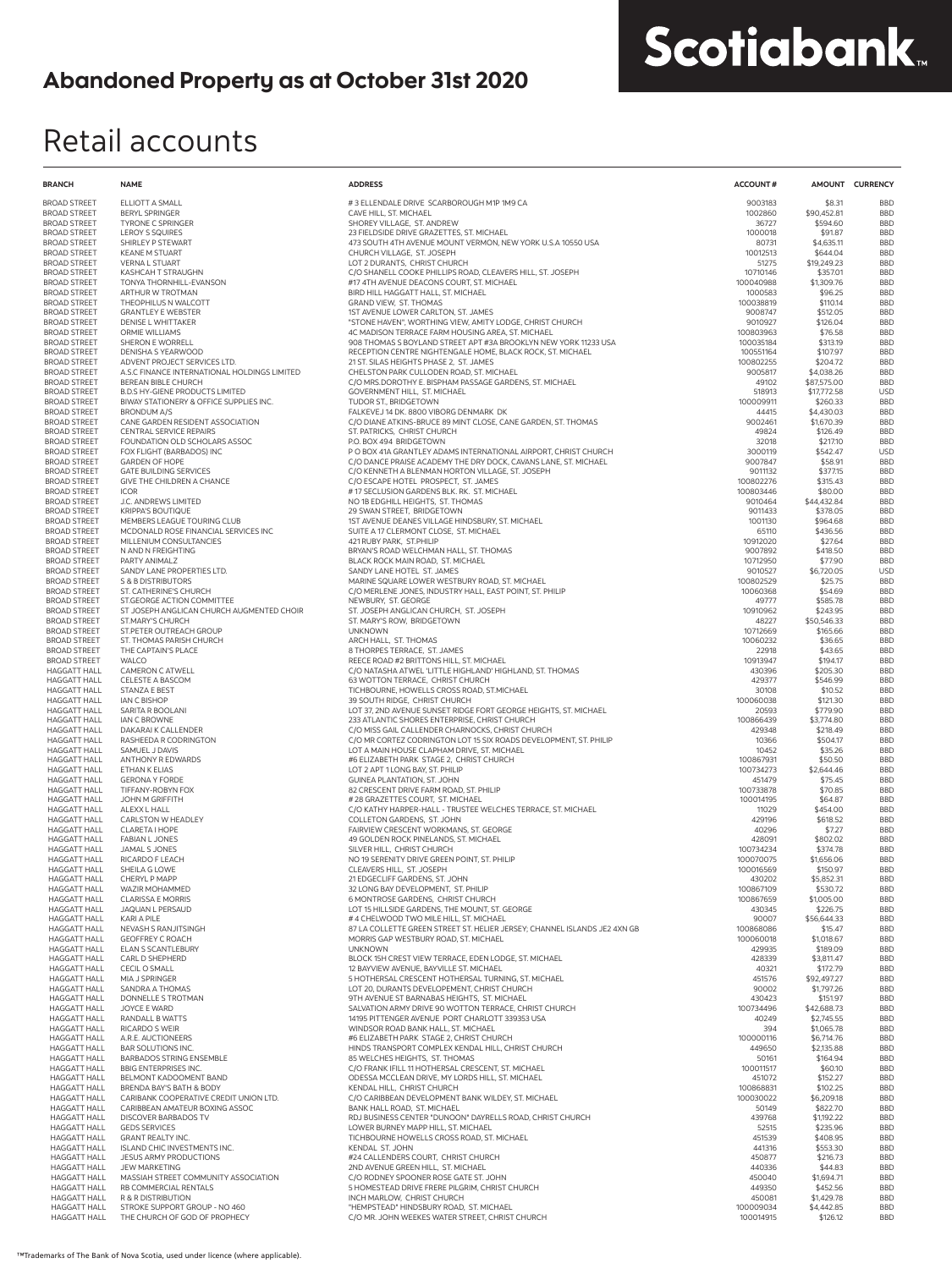## Retail accounts

| <b>BRANCH</b>                              | <b>NAME</b>                                                        | <b>ADDRESS</b>                                                                                                                | <b>ACCOUNT#</b>        |                            | AMOUNT CURRENCY          |
|--------------------------------------------|--------------------------------------------------------------------|-------------------------------------------------------------------------------------------------------------------------------|------------------------|----------------------------|--------------------------|
| <b>BROAD STREET</b>                        | ELLIOTT A SMALL                                                    | #3 ELLENDALE DRIVE SCARBOROUGH M1P 1M9 CA                                                                                     | 9003183                | \$8.31                     | <b>BBD</b>               |
| <b>BROAD STREET</b><br><b>BROAD STREET</b> | <b>BERYL SPRINGER</b><br><b>TYRONE C SPRINGER</b>                  | CAVE HILL, ST. MICHAEL<br>SHOREY VILLAGE, ST. ANDREW                                                                          | 1002860<br>36727       | \$90,452.81<br>\$594.60    | <b>BBD</b><br><b>BBD</b> |
| <b>BROAD STREET</b>                        | <b>LEROY S SQUIRES</b>                                             | 23 FIELDSIDE DRIVE GRAZETTES, ST. MICHAEL                                                                                     | 1000018                | \$91.87                    | <b>BBD</b>               |
| <b>BROAD STREET</b>                        | SHIRLEY P STEWART                                                  | 473 SOUTH 4TH AVENUE MOUNT VERMON, NEW YORK U.S.A 10550 USA                                                                   | 80731                  | \$4,635.11                 | <b>BBD</b>               |
| <b>BROAD STREET</b><br><b>BROAD STREET</b> | <b>KEANE M STUART</b><br><b>VERNA L STUART</b>                     | CHURCH VILLAGE. ST. JOSEPH<br>LOT 2 DURANTS. CHRIST CHURCH                                                                    | 10012513<br>51275      | \$644.04<br>\$19,249.23    | <b>BBD</b><br><b>BBD</b> |
| <b>BROAD STREET</b>                        | KASHCAH T STRAUGHN                                                 | C/O SHANELL COOKE PHILLIPS ROAD, CLEAVERS HILL, ST. JOSEPH                                                                    | 10710146               | \$357.01                   | <b>BBD</b>               |
| <b>BROAD STREET</b>                        | TONYA THORNHILL-EVANSON                                            | #17 4TH AVENUE DEACONS COURT, ST. MICHAEL                                                                                     | 100040988              | \$1,309.76                 | <b>BBD</b>               |
| <b>BROAD STREET</b>                        | ARTHUR W TROTMAN                                                   | BIRD HILL HAGGATT HALL, ST. MICHAEL                                                                                           | 1000583                | \$96.25                    | <b>BBD</b>               |
| <b>BROAD STREET</b><br><b>BROAD STREET</b> | THEOPHILUS N WALCOTT<br><b>GRANTLEY E WEBSTER</b>                  | GRAND VIEW, ST. THOMAS<br>1ST AVENUE LOWER CARLTON, ST. JAMES                                                                 | 100038819<br>9008747   | \$110.14<br>\$512.05       | <b>BBD</b><br><b>BBD</b> |
| <b>BROAD STREET</b>                        | <b>DENISE L WHITTAKER</b>                                          | "STONE HAVEN", WORTHING VIEW, AMITY LODGE, CHRIST CHURCH                                                                      | 9010927                | \$126.04                   | <b>BBD</b>               |
| <b>BROAD STREET</b>                        | ORMIE WILLIAMS                                                     | 4C MADISON TERRACE FARM HOUSING AREA, ST. MICHAEL                                                                             | 100803963              | \$76.58                    | <b>BBD</b>               |
| <b>BROAD STREET</b><br><b>BROAD STREET</b> | <b>SHERON E WORRELL</b><br>DENISHA S YEARWOOD                      | 908 THOMAS S BOYLAND STREET APT #3A BROOKLYN NEW YORK 11233 USA<br>RECEPTION CENTRE NIGHTENGALE HOME, BLACK ROCK, ST. MICHAEL | 100035184<br>100551164 | \$313.19<br>\$107.97       | <b>BBD</b><br><b>BBD</b> |
| <b>BROAD STREET</b>                        | ADVENT PROJECT SERVICES LTD.                                       | 21 ST. SILAS HEIGHTS PHASE 2, ST. JAMES                                                                                       | 100802255              | \$204.72                   | <b>BBD</b>               |
| <b>BROAD STREET</b>                        | A.S.C FINANCE INTERNATIONAL HOLDINGS LIMITED                       | CHELSTON PARK CULLODEN ROAD, ST. MICHAEL                                                                                      | 9005817                | \$4,038.26                 | <b>BBD</b>               |
| <b>BROAD STREET</b><br><b>BROAD STREET</b> | BEREAN BIBLE CHURCH<br><b>B.D.S HY-GIENE PRODUCTS LIMITED</b>      | C/O MRS.DOROTHY E. BISPHAM PASSAGE GARDENS, ST. MICHAEL<br>GOVERNMENT HILL, ST. MICHAEL                                       | 49102<br>518913        | \$87,575.00<br>\$17,772.58 | <b>BBD</b><br><b>USD</b> |
| <b>BROAD STREET</b>                        | BIWAY STATIONERY & OFFICE SUPPLIES INC.                            | TUDOR ST., BRIDGETOWN                                                                                                         | 100009911              | \$260.33                   | <b>BBD</b>               |
| <b>BROAD STREET</b>                        | <b>BRONDUM A/S</b>                                                 | FALKEVEJ 14 DK. 8800 VIBORG DENMARK DK                                                                                        | 44415                  | \$4,430.03                 | <b>BBD</b>               |
| <b>BROAD STREET</b><br><b>BROAD STREET</b> | CANE GARDEN RESIDENT ASSOCIATION<br><b>CENTRAL SERVICE REPAIRS</b> | C/O DIANE ATKINS-BRUCE 89 MINT CLOSE, CANE GARDEN, ST. THOMAS<br>ST. PATRICKS, CHRIST CHURCH                                  | 9002461<br>49824       | \$1,670.39<br>\$126.49     | <b>BBD</b><br><b>BBD</b> |
| <b>BROAD STREET</b>                        | FOUNDATION OLD SCHOLARS ASSOC                                      | P.O. BOX 494 BRIDGETOWN                                                                                                       | 32018                  | \$217.10                   | <b>BBD</b>               |
| <b>BROAD STREET</b>                        | FOX FLIGHT (BARBADOS) INC                                          | P O BOX 41A GRANTLEY ADAMS INTERNATIONAL AIRPORT, CHRIST CHURCH                                                               | 3000119                | \$542.47                   | <b>USD</b>               |
| <b>BROAD STREET</b><br><b>BROAD STREET</b> | <b>GARDEN OF HOPE</b><br><b>GATE BUILDING SERVICES</b>             | C/O DANCE PRAISE ACADEMY THE DRY DOCK, CAVANS LANE, ST. MICHAEL<br>C/O KENNETH A BLENMAN HORTON VILLAGE, ST. JOSEPH           | 9007847<br>9011132     | \$58.91<br>\$377.15        | <b>BBD</b><br><b>BBD</b> |
| <b>BROAD STREET</b>                        | GIVE THE CHILDREN A CHANCE                                         | C/O ESCAPE HOTEL PROSPECT, ST. JAMES                                                                                          | 100802276              | \$315.43                   | <b>BBD</b>               |
| <b>BROAD STREET</b>                        | <b>ICOR</b>                                                        | #17 SECLUSION GARDENS BLK. RK. ST. MICHAEL                                                                                    | 100803446              | \$80.00                    | <b>BBD</b>               |
| <b>BROAD STREET</b><br><b>BROAD STREET</b> | J.C. ANDREWS LIMITED<br><b>KRIPPA'S BOUTIQUE</b>                   | NO 1B EDGHILL HEIGHTS. ST. THOMAS<br>29 SWAN STREET, BRIDGETOWN                                                               | 9010464<br>9011433     | \$44,432.84<br>\$378.05    | <b>BBD</b><br><b>BBD</b> |
| <b>BROAD STREET</b>                        | MEMBERS LEAGUE TOURING CLUB                                        | 1ST AVENUE DEANES VILLAGE HINDSBURY, ST. MICHAEL                                                                              | 1001130                | \$964.68                   | <b>BBD</b>               |
| <b>BROAD STREET</b>                        | MCDONALD ROSE FINANCIAL SERVICES INC                               | SUITE A 17 CLERMONT CLOSE, ST. MICHAEL                                                                                        | 65110                  | \$436.56                   | <b>BBD</b>               |
| <b>BROAD STREET</b>                        | MILLENIUM CONSULTANCIES                                            | 421 RUBY PARK, ST.PHILIP                                                                                                      | 10912020               | \$27.64                    | <b>BBD</b>               |
| <b>BROAD STREET</b><br><b>BROAD STREET</b> | N AND N FREIGHTING<br>PARTY ANIMALZ                                | BRYAN'S ROAD WELCHMAN HALL, ST. THOMAS<br>BLACK ROCK MAIN ROAD, ST. MICHAEL                                                   | 9007892<br>10712950    | \$418.50<br>\$77.90        | <b>BBD</b><br><b>BBD</b> |
| <b>BROAD STREET</b>                        | SANDY LANE PROPERTIES LTD.                                         | SANDY LANE HOTEL ST. JAMES                                                                                                    | 9010527                | \$6,720.05                 | <b>USD</b>               |
| <b>BROAD STREET</b>                        | S & B DISTRIBUTORS                                                 | MARINE SQUARE LOWER WESTBURY ROAD, ST. MICHAEL                                                                                | 100802529              | \$25.75                    | <b>BBD</b>               |
| <b>BROAD STREET</b><br><b>BROAD STREET</b> | ST. CATHERINE'S CHURCH<br>ST.GEORGE ACTION COMMITTEE               | C/O MERLENE JONES, INDUSTRY HALL, EAST POINT, ST. PHILIP<br>NEWBURY, ST. GEORGE                                               | 10060368<br>49777      | \$54.69<br>\$585.78        | <b>BBD</b><br><b>BBD</b> |
| <b>BROAD STREET</b>                        | ST JOSEPH ANGLICAN CHURCH AUGMENTED CHOIR                          | ST. JOSEPH ANGLICAN CHURCH, ST. JOSEPH                                                                                        | 10910962               | \$243.95                   | <b>BBD</b>               |
| <b>BROAD STREET</b>                        | ST.MARY'S CHURCH                                                   | ST. MARY'S ROW, BRIDGETOWN                                                                                                    | 48227                  | \$50,546.33                | <b>BBD</b>               |
| <b>BROAD STREET</b><br><b>BROAD STREET</b> | ST.PETER OUTREACH GROUP<br>ST. THOMAS PARISH CHURCH                | <b>UNKNOWN</b><br>ARCH HALL, ST. THOMAS                                                                                       | 10712669<br>10060232   | \$165.66<br>\$36.65        | <b>BBD</b><br><b>BBD</b> |
| <b>BROAD STREET</b>                        | THE CAPTAIN'S PLACE                                                | 8 THORPES TERRACE, ST. JAMES                                                                                                  | 22918                  | \$43.65                    | <b>BBD</b>               |
| <b>BROAD STREET</b>                        | <b>WALCO</b>                                                       | REECE ROAD #2 BRITTONS HILL, ST. MICHAEL                                                                                      | 10913947               | \$194.17                   | <b>BBD</b>               |
| <b>HAGGATT HALL</b><br><b>HAGGATT HALL</b> | <b>CAMERON C ATWELL</b><br>CELESTE A BASCOM                        | C/O NATASHA ATWEL 'LITTLE HIGHLAND' HIGHLAND, ST. THOMAS<br>63 WOTTON TERRACE, CHRIST CHURCH                                  | 430396<br>429377       | \$205.30<br>\$546.99       | <b>BBD</b><br><b>BBD</b> |
| <b>HAGGATT HALL</b>                        | <b>STANZA E BEST</b>                                               | TICHBOURNE, HOWELLS CROSS ROAD, ST.MICHAEL                                                                                    | 30108                  | \$10.52                    | <b>BBD</b>               |
| <b>HAGGATT HALL</b>                        | <b>IAN C BISHOP</b>                                                | 39 SOUTH RIDGE, CHRIST CHURCH                                                                                                 | 100060038              | \$121.30                   | <b>BBD</b>               |
| <b>HAGGATT HALL</b><br><b>HAGGATT HALL</b> | SARITA R BOOLANI<br>IAN C BROWNE                                   | LOT 37, 2ND AVENUE SUNSET RIDGE FORT GEORGE HEIGHTS, ST. MICHAEL                                                              | 20593<br>100866439     | \$779.90<br>\$3,774.80     | <b>BBD</b><br><b>BBD</b> |
| <b>HAGGATT HALL</b>                        | DAKARAI K CALLENDER                                                | 233 ATLANTIC SHORES ENTERPRISE, CHRIST CHURCH<br>C/O MISS GAIL CALLENDER CHARNOCKS, CHRIST CHURCH                             | 429348                 | \$218.49                   | <b>BBD</b>               |
| <b>HAGGATT HALL</b>                        | RASHEEDA R CODRINGTON                                              | C/O MR CORTEZ CODRINGTON LOT 15 SIX ROADS DEVELOPMENT, ST. PHILIP                                                             | 10366                  | \$504.17                   | <b>BBD</b>               |
| <b>HAGGATT HALL</b>                        | SAMUEL J DAVIS                                                     | LOT A MAIN HOUSE CLAPHAM DRIVE, ST. MICHAEL                                                                                   | 10452                  | \$35.26                    | <b>BBD</b>               |
| <b>HAGGATT HALL</b><br><b>HAGGATT HALL</b> | ANTHONY R EDWARDS<br>ETHAN K ELIAS                                 | #6 ELIZABETH PARK STAGE 2, CHRIST CHURCH<br>LOT 2 APT 1 LONG BAY, ST. PHILIP                                                  | 100867931<br>100734273 | \$50.50<br>\$2,644.46      | <b>BBD</b><br><b>BBD</b> |
| <b>HAGGATT HALL</b>                        | <b>GERONA Y FORDE</b>                                              | GUINEA PLANTATION, ST. JOHN                                                                                                   | 451479                 | \$75.45                    | <b>BBD</b>               |
| <b>HAGGATT HALL</b><br><b>HAGGATT HALL</b> | TIFFANY-ROBYN FOX<br>JOHN M GRIFFITH                               | 82 CRESCENT DRIVE FARM ROAD, ST. PHILIP<br>#28 GRAZETTES COURT, ST. MICHAEL                                                   | 100733878<br>100014195 | \$70.85<br>\$64.87         | <b>BBD</b><br><b>BBD</b> |
| <b>HAGGATT HALL</b>                        | ALEXX L HALL                                                       | C/O KATHY HARPER-HALL - TRUSTEE WELCHES TERRACE, ST. MICHAEL                                                                  | 11029                  | \$454.00                   | <b>BBD</b>               |
| <b>HAGGATT HALL</b>                        | CARLSTON W HEADLEY                                                 | COLLETON GARDENS, ST. JOHN                                                                                                    | 429196                 | \$618.52                   | <b>BBD</b>               |
| <b>HAGGATT HALL</b><br><b>HAGGATT HALL</b> | CLARETA I HOPE<br><b>FABIAN L JONES</b>                            | FAIRVIEW CRESCENT WORKMANS, ST. GEORGE<br>49 GOLDEN ROCK PINELANDS, ST. MICHAEL                                               | 40296<br>428091        | \$7.27<br>\$802.02         | <b>BBD</b><br><b>BBD</b> |
| <b>HAGGATT HALL</b>                        | JAMAL S JONES                                                      | SILVER HILL. CHRIST CHURCH                                                                                                    | 100734234              | \$374.78                   | <b>BBD</b>               |
| <b>HAGGATT HALL</b>                        | RICARDO F LEACH                                                    | NO 19 SERENITY DRIVE GREEN POINT, ST. PHILIP                                                                                  | 100070075              | \$1,656.06                 | <b>BBD</b>               |
| <b>HAGGATT HALL</b>                        | SHEILA G LOWE                                                      | CLEAVERS HILL. ST. JOSEPH                                                                                                     | 100016569              | \$150.97                   | <b>BBD</b>               |
| <b>HAGGATT HALL</b><br><b>HAGGATT HALL</b> | CHERYL P MAPP<br>WAZIR MOHAMMED                                    | 21 EDGECLIFF GARDENS, ST. JOHN<br>32 LONG BAY DEVELOPMENT. ST. PHILIP                                                         | 430202<br>100867109    | \$5,852.31<br>\$530.72     | <b>BBD</b><br><b>BBD</b> |
| <b>HAGGATT HALL</b>                        | <b>CLARISSA E MORRIS</b>                                           | 6 MONTROSE GARDENS. CHRIST CHURCH                                                                                             | 100867659              | \$1,005.00                 | <b>BBD</b>               |
| <b>HAGGATT HALL</b><br><b>HAGGATT HALL</b> | JAQUAN L PERSAUD<br>KARI A PILE                                    | LOT 15 HILLSIDE GARDENS, THE MOUNT, ST. GEORGE<br># 4 CHELWOOD TWO MILE HILL, ST. MICHAEL                                     | 430345<br>90007        | \$226.75<br>\$56,644.33    | <b>BBD</b><br><b>BBD</b> |
| <b>HAGGATT HALL</b>                        | NEVASH S RANJITSINGH                                               | 87 LA COLLETTE GREEN STREET ST. HELIER JERSEY; CHANNEL ISLANDS JE2 4XN GB                                                     | 100868086              | \$15.47                    | <b>BBD</b>               |
| <b>HAGGATT HALL</b>                        | <b>GEOFFREY C ROACH</b>                                            | MORRIS GAP WESTBURY ROAD, ST. MICHAEL                                                                                         | 100060018              | \$1,018.67                 | <b>BBD</b>               |
| <b>HAGGATT HALL</b><br><b>HAGGATT HALL</b> | ELAN S SCANTLEBURY<br>CARL D SHEPHERD                              | <b>UNKNOWN</b><br>BLOCK 15H CREST VIEW TERRACE, EDEN LODGE, ST. MICHAEL                                                       | 429935<br>428339       | \$189.09<br>\$3,811.47     | <b>BBD</b><br><b>BBD</b> |
| <b>HAGGATT HALL</b>                        | <b>CECIL O SMALL</b>                                               | 12 BAYVIEW AVENUE, BAYVILLE ST. MICHAEL                                                                                       | 40321                  | \$172.79                   | <b>BBD</b>               |
| <b>HAGGATT HALL</b>                        | MIA J SPRINGER                                                     | 5 HOTHERSAL CRESCENT HOTHERSAL TURNING, ST. MICHAEL                                                                           | 451576                 | \$92,497.27                | <b>BBD</b>               |
| <b>HAGGATT HALL</b><br><b>HAGGATT HALL</b> | SANDRA A THOMAS<br>DONNELLE S TROTMAN                              | LOT 20, DURANTS DEVELOPEMENT, CHRIST CHURCH<br>9TH AVENUE ST BARNABAS HEIGHTS, ST. MICHAEL                                    | 90002<br>430423        | \$1,797.26<br>\$151.97     | <b>BBD</b><br><b>BBD</b> |
| <b>HAGGATT HALL</b>                        | JOYCE E WARD                                                       | SALVATION ARMY DRIVE 90 WOTTON TERRACE, CHRIST CHURCH                                                                         | 100734496              | \$42,688.73                | <b>BBD</b>               |
| <b>HAGGATT HALL</b>                        | RANDALL B WATTS                                                    | 14195 PITTENGER AVENUE PORT CHARLOTT 339353 USA                                                                               | 40249                  | \$2,745.55                 | <b>BBD</b>               |
| <b>HAGGATT HALL</b><br><b>HAGGATT HALL</b> | RICARDO S WEIR<br>A.R.E. AUCTIONEERS                               | WINDSOR ROAD BANK HALL, ST. MICHAEL<br>#6 ELIZABETH PARK STAGE 2, CHRIST CHURCH                                               | 394<br>100000116       | \$1,065.78<br>\$6,714.76   | <b>BBD</b><br><b>BBD</b> |
| <b>HAGGATT HALL</b>                        | <b>BAR SOLUTIONS INC.</b>                                          | HINDS TRANSPORT COMPLEX KENDAL HILL, CHRIST CHURCH                                                                            | 449650                 | \$2,135.88                 | <b>BBD</b>               |
| <b>HAGGATT HALL</b>                        | <b>BARBADOS STRING ENSEMBLE</b>                                    | 85 WELCHES HEIGHTS, ST. THOMAS                                                                                                | 50161                  | \$164.94                   | <b>BBD</b>               |
| <b>HAGGATT HALL</b><br><b>HAGGATT HALL</b> | <b>BBIG ENTERPRISES INC.</b><br>BELMONT KADOOMENT BAND             | C/O FRANK IFILL 11 HOTHERSAL CRESCENT, ST. MICHAEL<br>ODESSA MCCLEAN DRIVE, MY LORDS HILL, ST. MICHAEL                        | 100011517<br>451072    | \$60.10<br>\$152.27        | <b>BBD</b><br><b>BBD</b> |
| <b>HAGGATT HALL</b>                        | BRENDA BAY'S BATH & BODY                                           | KENDAL HILL, CHRIST CHURCH                                                                                                    | 100868831              | \$102.25                   | <b>BBD</b>               |
| <b>HAGGATT HALL</b>                        | CARIBANK COOPERATIVE CREDIT UNION LTD.                             | C/O CARIBBEAN DEVELOPMENT BANK WILDEY, ST. MICHAEL                                                                            | 100030022              | \$6,209.18                 | <b>BBD</b>               |
| <b>HAGGATT HALL</b><br><b>HAGGATT HALL</b> | CARIBBEAN AMATEUR BOXING ASSOC<br>DISCOVER BARBADOS TV             | BANK HALL ROAD, ST. MICHAEL<br>RDJ BUSINESS CENTER "DUNOON" DAYRELLS ROAD, CHRIST CHURCH                                      | 50149<br>439768        | \$822.70<br>\$1,192.22     | <b>BBD</b><br><b>BBD</b> |
| <b>HAGGATT HALL</b>                        | <b>GEDS SERVICES</b>                                               | LOWER BURNEY MAPP HILL, ST. MICHAEL                                                                                           | 52515                  | \$235.96                   | <b>BBD</b>               |
| <b>HAGGATT HALL</b>                        | <b>GRANT REALTY INC.</b>                                           | TICHBOURNE HOWELLS CROSS ROAD, ST. MICHAEL                                                                                    | 451539                 | \$408.95                   | <b>BBD</b>               |
| <b>HAGGATT HALL</b><br><b>HAGGATT HALL</b> | ISLAND CHIC INVESTMENTS INC.<br>JESUS ARMY PRODUCTIONS             | KENDAL ST. JOHN<br>#24 CALLENDERS COURT, CHRIST CHURCH                                                                        | 441316<br>450877       | \$553.30<br>\$216.73       | <b>BBD</b><br><b>BBD</b> |
| <b>HAGGATT HALL</b>                        | JEW MARKETING                                                      | 2ND AVENUE GREEN HILL, ST. MICHAEL                                                                                            | 440336                 | \$44.83                    | <b>BBD</b>               |
| <b>HAGGATT HALL</b>                        | MASSIAH STREET COMMUNITY ASSOCIATION                               | C/O RODNEY SPOONER ROSE GATE ST. JOHN                                                                                         | 450040                 | \$1,694.71                 | <b>BBD</b>               |
| <b>HAGGATT HALL</b><br><b>HAGGATT HALL</b> | RB COMMERCIAL RENTALS<br>R & R DISTRIBUTION                        | 5 HOMESTEAD DRIVE FRERE PILGRIM, CHRIST CHURCH<br>INCH MARLOW, CHRIST CHURCH                                                  | 449350<br>450081       | \$452.56<br>\$1,429.78     | <b>BBD</b><br><b>BBD</b> |
| <b>HAGGATT HALL</b>                        | STROKE SUPPORT GROUP - NO 460                                      | "HEMPSTEAD" HINDSBURY ROAD, ST. MICHAEL                                                                                       | 100009034              | \$4,442.85                 | <b>BBD</b>               |
| <b>HAGGATT HALL</b>                        | THE CHURCH OF GOD OF PROPHECY                                      | C/O MR. JOHN WEEKES WATER STREET. CHRIST CHURCH                                                                               | 100014915              | \$126.12                   | <b>BBD</b>               |

Scotiabank.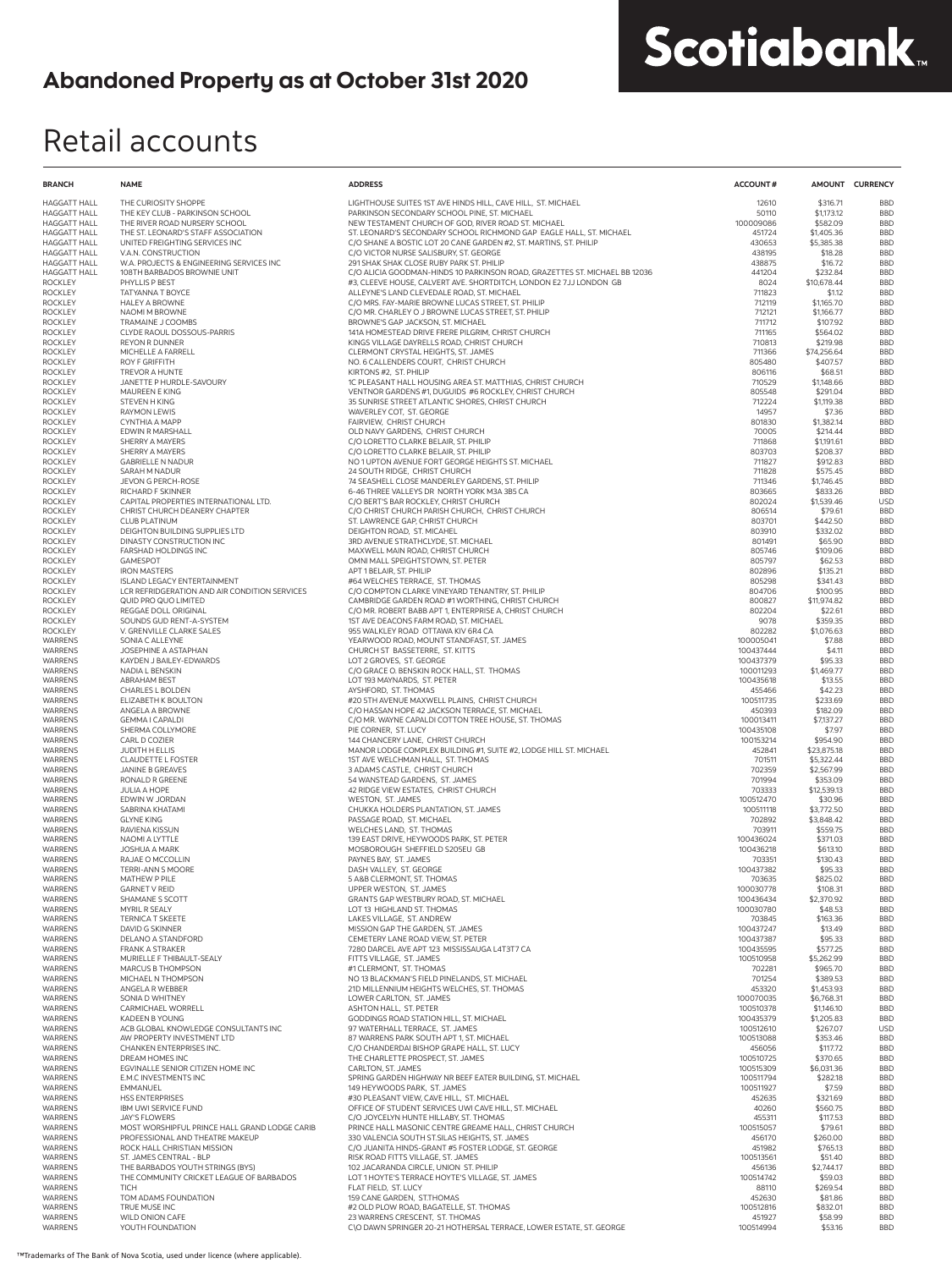## Retail accounts

| <b>BRANCH</b>                              | <b>NAME</b>                                                           | <b>ADDRESS</b>                                                                                                                           | <b>ACCOUNT#</b>        |                          | AMOUNT CURRENCY          |
|--------------------------------------------|-----------------------------------------------------------------------|------------------------------------------------------------------------------------------------------------------------------------------|------------------------|--------------------------|--------------------------|
| <b>HAGGATT HALL</b>                        | THE CURIOSITY SHOPPE                                                  | LIGHTHOUSE SUITES 1ST AVE HINDS HILL, CAVE HILL, ST. MICHAEL                                                                             | 12610                  | \$316.71                 | <b>BBD</b>               |
| <b>HAGGATT HALL</b>                        | THE KEY CLUB - PARKINSON SCHOOL                                       | PARKINSON SECONDARY SCHOOL PINE, ST. MICHAEL                                                                                             | 50110                  | \$1,173.12               | <b>BBD</b>               |
| <b>HAGGATT HALL</b>                        | THE RIVER ROAD NURSERY SCHOOL                                         | NEW TESTAMENT CHURCH OF GOD. RIVER ROAD ST. MICHAEL                                                                                      | 100009086              | \$582.09                 | <b>BBD</b>               |
| <b>HAGGATT HALL</b><br><b>HAGGATT HALL</b> | THE ST. LEONARD'S STAFF ASSOCIATION<br>UNITED FREIGHTING SERVICES INC | ST. LEONARD'S SECONDARY SCHOOL RICHMOND GAP EAGLE HALL, ST. MICHAEL<br>C/O SHANE A BOSTIC LOT 20 CANE GARDEN #2, ST. MARTINS, ST. PHILIP | 451724<br>430653       | \$1,405.36<br>\$5,385.38 | <b>BBD</b><br><b>BBD</b> |
| <b>HAGGATT HALL</b>                        | V.A.N. CONSTRUCTION                                                   | C/O VICTOR NURSE SALISBURY, ST. GEORGE                                                                                                   | 438195                 | \$18.28                  | <b>BBD</b>               |
| <b>HAGGATT HALL</b>                        | W.A. PROJECTS & ENGINEERING SERVICES INC                              | 291 SHAK SHAK CLOSE RUBY PARK ST. PHILIP                                                                                                 | 438875                 | \$16.72                  | <b>BBD</b>               |
| <b>HAGGATT HALL</b>                        | 108TH BARBADOS BROWNIE UNIT<br>PHYLLIS P BEST                         | C/O ALICIA GOODMAN-HINDS 10 PARKINSON ROAD, GRAZETTES ST. MICHAEL BB 12036                                                               | 441204<br>8024         | \$232.84                 | <b>BBD</b><br><b>BBD</b> |
| <b>ROCKLEY</b><br><b>ROCKLEY</b>           | TATYANNA T BOYCE                                                      | #3, CLEEVE HOUSE, CALVERT AVE. SHORTDITCH, LONDON E2 7JJ LONDON GB<br>ALLEYNE'S LAND CLEVEDALE ROAD, ST. MICHAEL                         | 711823                 | \$10,678.44<br>\$1.12    | <b>BBD</b>               |
| <b>ROCKLEY</b>                             | <b>HALEY A BROWNE</b>                                                 | C/O MRS. FAY-MARIE BROWNE LUCAS STREET, ST. PHILIP                                                                                       | 712119                 | \$1,165.70               | <b>BBD</b>               |
| <b>ROCKLEY</b>                             | NAOMI M BROWNE                                                        | C/O MR. CHARLEY O J BROWNE LUCAS STREET, ST. PHILIP                                                                                      | 712121                 | \$1,166.77               | <b>BBD</b>               |
| <b>ROCKLEY</b><br><b>ROCKLEY</b>           | TRAMAINE J COOMBS<br>CLYDE RAOUL DOSSOUS-PARRIS                       | BROWNE'S GAP JACKSON, ST. MICHAEL<br>141A HOMESTEAD DRIVE FRERE PILGRIM, CHRIST CHURCH                                                   | 711712<br>711165       | \$107.92<br>\$564.02     | <b>BBD</b><br><b>BBD</b> |
| <b>ROCKLEY</b>                             | <b>REYON R DUNNER</b>                                                 | KINGS VILLAGE DAYRELLS ROAD, CHRIST CHURCH                                                                                               | 710813                 | \$219.98                 | <b>BBD</b>               |
| <b>ROCKLEY</b>                             | MICHELLE A FARRELL                                                    | CLERMONT CRYSTAL HEIGHTS, ST. JAMES                                                                                                      | 711366                 | \$74,256.64              | <b>BBD</b>               |
| <b>ROCKLEY</b>                             | <b>ROY F GRIFFITH</b>                                                 | NO. 6 CALLENDERS COURT, CHRIST CHURCH                                                                                                    | 805480                 | \$407.57                 | <b>BBD</b>               |
| <b>ROCKLEY</b><br><b>ROCKLEY</b>           | TREVOR A HUNTE<br>JANETTE P HURDLE-SAVOURY                            | KIRTONS #2, ST. PHILIP<br>1C PLEASANT HALL HOUSING AREA ST. MATTHIAS, CHRIST CHURCH                                                      | 806116<br>710529       | \$68.51<br>\$1,148.66    | <b>BBD</b><br><b>BBD</b> |
| <b>ROCKLEY</b>                             | MAUREEN E KING                                                        | VENTNOR GARDENS #1, DUGUIDS #6 ROCKLEY, CHRIST CHURCH                                                                                    | 805548                 | \$291.04                 | <b>BBD</b>               |
| <b>ROCKLEY</b>                             | STEVEN H KING                                                         | 35 SUNRISE STREET ATLANTIC SHORES, CHRIST CHURCH                                                                                         | 712224                 | \$1,119.38               | <b>BBD</b>               |
| <b>ROCKLEY</b>                             | <b>RAYMON LEWIS</b>                                                   | WAVERLEY COT, ST. GEORGE                                                                                                                 | 14957                  | \$7.36                   | <b>BBD</b>               |
| <b>ROCKLEY</b><br><b>ROCKLEY</b>           | <b>CYNTHIA A MAPP</b><br>EDWIN R MARSHALL                             | FAIRVIEW, CHRIST CHURCH<br>OLD NAVY GARDENS, CHRIST CHURCH                                                                               | 801830<br>70005        | \$1,382.14<br>\$214.44   | <b>BBD</b><br><b>BBD</b> |
| <b>ROCKLEY</b>                             | SHERRY A MAYERS                                                       | C/O LORETTO CLARKE BELAIR, ST. PHILIP                                                                                                    | 711868                 | \$1,191.61               | <b>BBD</b>               |
| <b>ROCKLEY</b>                             | SHERRY A MAYERS                                                       | C/O LORETTO CLARKE BELAIR, ST. PHILIP                                                                                                    | 803703                 | \$208.37                 | <b>BBD</b>               |
| <b>ROCKLEY</b>                             | <b>GABRIELLE N NADUR</b>                                              | NO 1 UPTON AVENUE FORT GEORGE HEIGHTS ST. MICHAEL                                                                                        | 711827                 | \$912.83                 | <b>BBD</b>               |
| <b>ROCKLEY</b><br><b>ROCKLEY</b>           | SARAH M NADUR<br>JEVON G PERCH-ROSE                                   | 24 SOUTH RIDGE, CHRIST CHURCH<br>74 SEASHELL CLOSE MANDERLEY GARDENS, ST. PHILIP                                                         | 711828<br>711346       | \$575.45<br>\$1,746.45   | <b>BBD</b><br><b>BBD</b> |
| <b>ROCKLEY</b>                             | RICHARD F SKINNER                                                     | 6-46 THREE VALLEYS DR NORTH YORK M3A 3B5 CA                                                                                              | 803665                 | \$833.26                 | <b>BBD</b>               |
| <b>ROCKLEY</b>                             | CAPITAL PROPERTIES INTERNATIONAL LTD.                                 | C/O BERT'S BAR ROCKLEY, CHRIST CHURCH                                                                                                    | 802024                 | \$1,539.46               | <b>USD</b>               |
| <b>ROCKLEY</b>                             | CHRIST CHURCH DEANERY CHAPTER                                         | C/O CHRIST CHURCH PARISH CHURCH, CHRIST CHURCH                                                                                           | 806514                 | \$79.61                  | <b>BBD</b>               |
| <b>ROCKLEY</b><br><b>ROCKLEY</b>           | <b>CLUB PLATINUM</b><br>DEIGHTON BUILDING SUPPLIES LTD                | ST. LAWRENCE GAP. CHRIST CHURCH<br>DEIGHTON ROAD. ST. MICAHEL                                                                            | 803701<br>803910       | \$442.50<br>\$332.02     | <b>BBD</b><br><b>BBD</b> |
| <b>ROCKLEY</b>                             | DINASTY CONSTRUCTION INC                                              | 3RD AVENUE STRATHCLYDE, ST. MICHAEL                                                                                                      | 801491                 | \$65.90                  | <b>BBD</b>               |
| <b>ROCKLEY</b>                             | FARSHAD HOLDINGS INC                                                  | MAXWELL MAIN ROAD, CHRIST CHURCH                                                                                                         | 805746                 | \$109.06                 | <b>BBD</b>               |
| <b>ROCKLEY</b>                             | <b>GAMESPOT</b>                                                       | OMNI MALL SPEIGHTSTOWN, ST. PETER                                                                                                        | 805797                 | \$62.53                  | <b>BBD</b>               |
| <b>ROCKLEY</b><br><b>ROCKLEY</b>           | <b>IRON MASTERS</b><br><b>ISLAND LEGACY ENTERTAINMENT</b>             | APT 1 BELAIR, ST. PHILIP<br>#64 WELCHES TERRACE, ST. THOMAS                                                                              | 802896<br>805298       | \$135.21<br>\$341.43     | <b>BBD</b><br><b>BBD</b> |
| <b>ROCKLEY</b>                             | LCR REFRIDGERATION AND AIR CONDITION SERVICES                         | C/O COMPTON CLARKE VINEYARD TENANTRY, ST. PHILIP                                                                                         | 804706                 | \$100.95                 | <b>BBD</b>               |
| <b>ROCKLEY</b>                             | QUID PRO QUO LIMITED                                                  | CAMBRIDGE GARDEN ROAD #1 WORTHING, CHRIST CHURCH                                                                                         | 800827                 | \$11,974.82              | <b>BBD</b>               |
| <b>ROCKLEY</b>                             | REGGAE DOLL ORIGINAL                                                  | C/O MR. ROBERT BABB APT 1, ENTERPRISE A, CHRIST CHURCH                                                                                   | 802204                 | \$22.61                  | <b>BBD</b>               |
| <b>ROCKLEY</b><br><b>ROCKLEY</b>           | SOUNDS GUD RENT-A-SYSTEM<br>V. GRENVILLE CLARKE SALES                 | 1ST AVE DEACONS FARM ROAD, ST. MICHAEL<br>955 WALKLEY ROAD OTTAWA KIV 6R4 CA                                                             | 9078<br>802282         | \$359.35<br>\$1,076.63   | <b>BBD</b><br><b>BBD</b> |
| <b>WARRENS</b>                             | SONIA C ALLEYNE                                                       | YEARWOOD ROAD, MOUNT STANDFAST, ST. JAMES                                                                                                | 100005041              | \$7.88                   | <b>BBD</b>               |
| <b>WARRENS</b>                             | JOSEPHINE A ASTAPHAN                                                  | CHURCH ST BASSETERRE, ST. KITTS                                                                                                          | 100437444              | \$4.11                   | <b>BBD</b>               |
| WARRENS                                    | KAYDEN J BAILEY-EDWARDS                                               | LOT 2 GROVES, ST. GEORGE                                                                                                                 | 100437379              | \$95.33                  | <b>BBD</b>               |
| <b>WARRENS</b><br><b>WARRENS</b>           | NADIA L BENSKIN<br><b>ABRAHAM BEST</b>                                | C/O GRACE O. BENSKIN ROCK HALL, ST. THOMAS<br>LOT 193 MAYNARDS, ST. PETER                                                                | 100011293<br>100435618 | \$1,469.77<br>\$13.55    | <b>BBD</b><br><b>BBD</b> |
| WARRENS                                    | CHARLES L BOLDEN                                                      | AYSHFORD, ST. THOMAS                                                                                                                     | 455466                 | \$42.23                  | <b>BBD</b>               |
| WARRENS                                    | ELIZABETH K BOULTON                                                   | #20 5TH AVENUE MAXWELL PLAINS, CHRIST CHURCH                                                                                             | 100511735              | \$233.69                 | <b>BBD</b>               |
| <b>WARRENS</b>                             | ANGELA A BROWNE                                                       | C/O HASSAN HOPE 42 JACKSON TERRACE, ST. MICHAEL                                                                                          | 450393                 | \$182.09                 | <b>BBD</b><br><b>BBD</b> |
| <b>WARRENS</b><br>WARRENS                  | <b>GEMMAI CAPALDI</b><br>SHERMA COLLYMORE                             | C/O MR. WAYNE CAPALDI COTTON TREE HOUSE, ST. THOMAS<br>PIE CORNER, ST. LUCY                                                              | 100013411<br>100435108 | \$7,137.27<br>\$7.97     | <b>BBD</b>               |
| <b>WARRENS</b>                             | CARL D COZIER                                                         | 144 CHANCERY LANE. CHRIST CHURCH                                                                                                         | 100153214              | \$954.90                 | <b>BBD</b>               |
| <b>WARRENS</b>                             | JUDITH H ELLIS                                                        | MANOR LODGE COMPLEX BUILDING #1, SUITE #2, LODGE HILL ST. MICHAEL                                                                        | 452841                 | \$23,875.18              | <b>BBD</b>               |
| <b>WARRENS</b>                             | <b>CLAUDETTE L FOSTER</b>                                             | 1ST AVE WELCHMAN HALL, ST. THOMAS                                                                                                        | 701511                 | \$5,322.44               | <b>BBD</b>               |
| WARRENS<br>WARRENS                         | JANINE B GREAVES<br>RONALD R GREENE                                   | 3 ADAMS CASTLE, CHRIST CHURCH<br>54 WANSTEAD GARDENS, ST. JAMES                                                                          | 702359<br>701994       | \$2,567.99<br>\$353.09   | <b>BBD</b><br><b>BBD</b> |
| <b>WARRENS</b>                             | <b>JULIA A HOPE</b>                                                   | 42 RIDGE VIEW ESTATES, CHRIST CHURCH                                                                                                     | 703333                 | \$12,539.13              | <b>BBD</b>               |
| WARRENS                                    | EDWIN W JORDAN                                                        | WESTON, ST. JAMES                                                                                                                        | 100512470              | \$30.96                  | <b>BBD</b>               |
| <b>WARRENS</b><br>WARRENS                  | SABRINA KHATAMI<br><b>GLYNE KING</b>                                  | CHUKKA HOLDERS PLANTATION, ST. JAMES<br>PASSAGE ROAD, ST. MICHAEL                                                                        | 100511118<br>702892    | \$3,772.50<br>\$3,848.42 | <b>BBD</b><br><b>BBD</b> |
| <b>WARRENS</b>                             | RAVIENA KISSUN                                                        | WELCHES LAND, ST. THOMAS                                                                                                                 | 703911                 | \$559.75                 | <b>BBD</b>               |
| WARRENS                                    | NAOMI A LYTTLE                                                        | 139 EAST DRIVE, HEYWOODS PARK, ST. PETER                                                                                                 | 100436024              | \$371.03                 | <b>BBD</b>               |
| WARRENS                                    | <b>JOSHUA A MARK</b>                                                  | MOSBOROUGH SHEFFIELD S205EU GB                                                                                                           | 100436218              | \$613.10                 | <b>BBD</b>               |
| <b>WARRENS</b>                             | RAJAE O MCCOLLIN<br><b>TERRI-ANN S MOORE</b>                          | PAYNES BAY. ST. JAMES<br>DASH VALLEY, ST. GEORGE                                                                                         | 703351<br>100437382    | \$130.43<br>\$95.33      | <b>BBD</b><br><b>BBD</b> |
| WARRENS<br>WARRENS                         | MATHEW P PILE                                                         | 5 A&B CLERMONT, ST. THOMAS                                                                                                               | 703635                 | \$825.02                 | <b>BBD</b>               |
| WARRENS                                    | <b>GARNET V REID</b>                                                  | UPPER WESTON, ST. JAMES                                                                                                                  | 100030778              | \$108.31                 | <b>BBD</b>               |
| <b>WARRENS</b>                             | SHAMANE S SCOTT                                                       | GRANTS GAP WESTBURY ROAD, ST. MICHAEL                                                                                                    | 100436434              | \$2,370.92               | <b>BBD</b>               |
| WARRENS<br>WARRENS                         | MYRIL R SEALY                                                         | LOT 13 HIGHLAND ST. THOMAS<br>LAKES VILLAGE, ST. ANDREW                                                                                  | 100030780<br>703845    | \$48.53<br>\$163.36      | <b>BBD</b><br><b>BBD</b> |
| WARRENS                                    | <b>TERNICA T SKEETE</b><br>DAVID G SKINNER                            | MISSION GAP THE GARDEN, ST. JAMES                                                                                                        | 100437247              | \$13.49                  | <b>BBD</b>               |
| <b>WARRENS</b>                             | DELANO A STANDFORD                                                    | CEMETERY LANE ROAD VIEW, ST. PETER                                                                                                       | 100437387              | \$95.33                  | <b>BBD</b>               |
| <b>WARRENS</b>                             | <b>FRANK A STRAKER</b>                                                | 7280 DARCEL AVE APT 123 MISSISSAUGA L4T3T7 CA                                                                                            | 100435595              | \$577.25                 | <b>BBD</b>               |
| WARRENS<br>WARRENS                         | MURIELLE F THIBAULT-SEALY<br>MARCUS B THOMPSON                        | FITTS VILLAGE, ST. JAMES<br>#1 CLERMONT, ST. THOMAS                                                                                      | 100510958<br>702281    | \$5,262.99<br>\$965.70   | <b>BBD</b><br><b>BBD</b> |
| WARRENS                                    | MICHAEL N THOMPSON                                                    | NO 13 BLACKMAN'S FIELD PINELANDS, ST. MICHAEL                                                                                            | 701254                 | \$389.53                 | <b>BBD</b>               |
| WARRENS                                    | ANGELA R WEBBER                                                       | 21D MILLENNIUM HEIGHTS WELCHES, ST. THOMAS                                                                                               | 453320                 | \$1,453.93               | <b>BBD</b>               |
| WARRENS                                    | SONIA D WHITNEY                                                       | LOWER CARLTON, ST. JAMES                                                                                                                 | 100070035              | \$6,768.31               | <b>BBD</b>               |
| <b>WARRENS</b><br>WARRENS                  | CARMICHAEL WORRELL<br>KADEEN B YOUNG                                  | ASHTON HALL, ST. PETER<br>GODDINGS ROAD STATION HILL, ST. MICHAEL                                                                        | 100510378<br>100435379 | \$1,146.10<br>\$1,205.83 | <b>BBD</b><br><b>BBD</b> |
| WARRENS                                    | ACB GLOBAL KNOWLEDGE CONSULTANTS INC                                  | 97 WATERHALL TERRACE, ST. JAMES                                                                                                          | 100512610              | \$267.07                 | <b>USD</b>               |
| WARRENS                                    | AW PROPERTY INVESTMENT LTD                                            | 87 WARRENS PARK SOUTH APT 1, ST. MICHAEL                                                                                                 | 100513088              | \$353.46                 | <b>BBD</b>               |
| <b>WARRENS</b>                             | CHANKEN ENTERPRISES INC.                                              | C/O CHANDERDAI BISHOP GRAPE HALL, ST. LUCY                                                                                               | 456056                 | \$117.72                 | <b>BBD</b>               |
| WARRENS<br>WARRENS                         | DREAM HOMES INC<br>EGVINALLE SENIOR CITIZEN HOME INC                  | THE CHARLETTE PROSPECT, ST. JAMES<br>CARLTON, ST. JAMES                                                                                  | 100510725<br>100515309 | \$370.65<br>\$6,031.36   | <b>BBD</b><br><b>BBD</b> |
| WARRENS                                    | E.M.C INVESTMENTS INC                                                 | SPRING GARDEN HIGHWAY NR BEEF EATER BUILDING, ST. MICHAEL                                                                                | 100511794              | \$282.18                 | <b>BBD</b>               |
| WARRENS                                    | <b>EMMANUEL</b>                                                       | 149 HEYWOODS PARK, ST. JAMES                                                                                                             | 100511927              | \$7.59                   | <b>BBD</b>               |
| WARRENS                                    | <b>HSS ENTERPRISES</b>                                                | #30 PLEASANT VIEW, CAVE HILL, ST. MICHAEL                                                                                                | 452635                 | \$321.69                 | <b>BBD</b>               |
| WARRENS<br>WARRENS                         | <b>IBM UWI SERVICE FUND</b><br><b>JAY'S FLOWERS</b>                   | OFFICE OF STUDENT SERVICES UWI CAVE HILL, ST. MICHAEL<br>C/O JOYCELYN HUNTE HILLABY, ST. THOMAS                                          | 40260<br>455311        | \$560.75<br>\$117.53     | <b>BBD</b><br><b>BBD</b> |
| <b>WARRENS</b>                             | MOST WORSHIPFUL PRINCE HALL GRAND LODGE CARIB                         | PRINCE HALL MASONIC CENTRE GREAME HALL, CHRIST CHURCH                                                                                    | 100515057              | \$79.61                  | <b>BBD</b>               |
| WARRENS                                    | PROFESSIONAL AND THEATRE MAKEUP                                       | 330 VALENCIA SOUTH ST.SILAS HEIGHTS, ST. JAMES                                                                                           | 456170                 | \$260.00                 | <b>BBD</b>               |
| WARRENS                                    | ROCK HALL CHRISTIAN MISSION                                           | C/O JUANITA HINDS-GRANT #5 FOSTER LODGE. ST. GEORGE                                                                                      | 451982                 | \$765.13                 | <b>BBD</b>               |
| <b>WARRENS</b><br><b>WARRENS</b>           | ST. JAMES CENTRAL - BLP<br>THE BARBADOS YOUTH STRINGS (BYS)           | RISK ROAD FITTS VILLAGE, ST. JAMES<br>102 JACARANDA CIRCLE, UNION ST. PHILIP                                                             | 100513561<br>456136    | \$51.40<br>\$2,744.17    | <b>BBD</b><br><b>BBD</b> |
| WARRENS                                    | THE COMMUNITY CRICKET LEAGUE OF BARBADOS                              | LOT 1 HOYTE'S TERRACE HOYTE'S VILLAGE, ST. JAMES                                                                                         | 100514742              | \$59.03                  | <b>BBD</b>               |
| WARRENS                                    | <b>TICH</b>                                                           | FLAT FIELD, ST. LUCY                                                                                                                     | 88110                  | \$269.54                 | <b>BBD</b>               |
| <b>WARRENS</b>                             | TOM ADAMS FOUNDATION                                                  | 159 CANE GARDEN, ST.THOMAS                                                                                                               | 452630                 | \$81.86                  | <b>BBD</b>               |
| WARRENS<br><b>WARRENS</b>                  | TRUE MUSE INC<br><b>WILD ONION CAFE</b>                               | #2 OLD PLOW ROAD, BAGATELLE, ST. THOMAS<br>23 WARRENS CRESCENT, ST. THOMAS                                                               | 100512816<br>451927    | \$832.01<br>\$58.99      | <b>BBD</b><br><b>BBD</b> |
| WARRENS                                    | YOUTH FOUNDATION                                                      | C\O DAWN SPRINGER 20-21 HOTHERSAL TERRACE, LOWER ESTATE, ST. GEORGE                                                                      | 100514994              | \$53.16                  | <b>BBD</b>               |

Scotiabank.

™Trademarks of The Bank of Nova Scotia, used under licence (where applicable).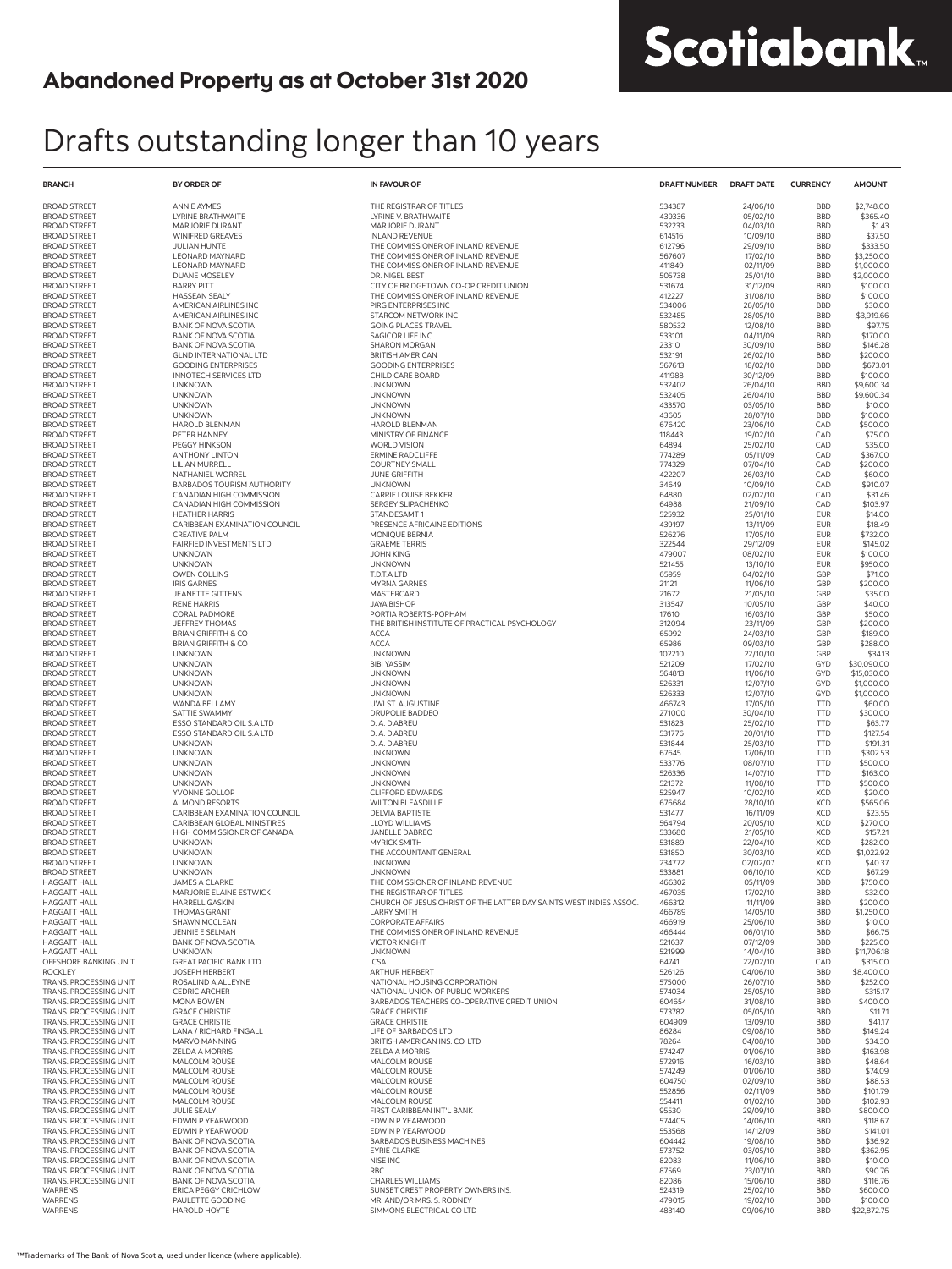# Scotiabank.

## Drafts outstanding longer than 10 years

| <b>BRANCH</b>                                    | <b>BY ORDER OF</b>                                       | <b>IN FAVOUR OF</b>                                                                      | <b>DRAFT NUMBER</b> | <b>DRAFT DATE</b>    | <b>CURRENCY</b>          | <b>AMOUNT</b>            |
|--------------------------------------------------|----------------------------------------------------------|------------------------------------------------------------------------------------------|---------------------|----------------------|--------------------------|--------------------------|
| <b>BROAD STREET</b>                              | <b>ANNIE AYMES</b>                                       | THE REGISTRAR OF TITLES                                                                  | 534387              | 24/06/10             | <b>BBD</b>               | \$2,748.00               |
| <b>BROAD STREET</b>                              | LYRINE BRATHWAITE                                        | LYRINE V. BRATHWAITE                                                                     | 439336              | 05/02/10             | <b>BBD</b>               | \$365.40                 |
| <b>BROAD STREET</b><br><b>BROAD STREET</b>       | MARJORIE DURANT<br>WINIFRED GREAVES                      | <b>MARJORIE DURANT</b><br><b>INLAND REVENUE</b>                                          | 532233<br>614516    | 04/03/10<br>10/09/10 | <b>BBD</b><br><b>BBD</b> | \$1.43<br>\$37.50        |
| <b>BROAD STREET</b>                              | <b>JULIAN HUNTE</b>                                      | THE COMMISSIONER OF INLAND REVENUE                                                       | 612796              | 29/09/10             | <b>BBD</b>               | \$333.50                 |
| <b>BROAD STREET</b>                              | <b>LEONARD MAYNARD</b>                                   | THE COMMISSIONER OF INLAND REVENUE                                                       | 567607              | 17/02/10             | <b>BBD</b>               | \$3,250.00               |
| <b>BROAD STREET</b>                              | LEONARD MAYNARD                                          | THE COMMISSIONER OF INLAND REVENUE                                                       | 411849              | 02/11/09             | <b>BBD</b>               | \$1,000.00               |
| <b>BROAD STREET</b>                              | <b>DUANE MOSELEY</b>                                     | DR. NIGEL BEST                                                                           | 505738              | 25/01/10             | <b>BBD</b>               | \$2,000.00               |
| <b>BROAD STREET</b><br><b>BROAD STREET</b>       | <b>BARRY PITT</b><br><b>HASSEAN SEALY</b>                | CITY OF BRIDGETOWN CO-OP CREDIT UNION<br>THE COMMISSIONER OF INLAND REVENUE              | 531674<br>412227    | 31/12/09<br>31/08/10 | <b>BBD</b><br><b>BBD</b> | \$100.00<br>\$100.00     |
| <b>BROAD STREET</b>                              | AMERICAN AIRLINES INC                                    | PIRG ENTERPRISES INC                                                                     | 534006              | 28/05/10             | <b>BBD</b>               | \$30.00                  |
| <b>BROAD STREET</b>                              | AMERICAN AIRLINES INC                                    | STARCOM NETWORK INC                                                                      | 532485              | 28/05/10             | <b>BBD</b>               | \$3,919.66               |
| <b>BROAD STREET</b>                              | <b>BANK OF NOVA SCOTIA</b>                               | <b>GOING PLACES TRAVEL</b>                                                               | 580532              | 12/08/10             | <b>BBD</b>               | \$97.75                  |
| <b>BROAD STREET</b><br><b>BROAD STREET</b>       | <b>BANK OF NOVA SCOTIA</b><br><b>BANK OF NOVA SCOTIA</b> | SAGICOR LIFE INC<br><b>SHARON MORGAN</b>                                                 | 533101<br>23310     | 04/11/09<br>30/09/10 | <b>BBD</b><br><b>BBD</b> | \$170.00<br>\$146.28     |
| <b>BROAD STREET</b>                              | <b>GLND INTERNATIONAL LTD</b>                            | <b>BRITISH AMERICAN</b>                                                                  | 532191              | 26/02/10             | <b>BBD</b>               | \$200.00                 |
| <b>BROAD STREET</b>                              | <b>GOODING ENTERPRISES</b>                               | <b>GOODING ENTERPRISES</b>                                                               | 567613              | 18/02/10             | <b>BBD</b>               | \$673.01                 |
| <b>BROAD STREET</b>                              | <b>INNOTECH SERVICES LTD</b>                             | CHILD CARE BOARD                                                                         | 411988              | 30/12/09             | <b>BBD</b>               | \$100.00                 |
| <b>BROAD STREET</b>                              | <b>UNKNOWN</b>                                           | <b>UNKNOWN</b>                                                                           | 532402              | 26/04/10             | <b>BBD</b>               | \$9,600.34               |
| <b>BROAD STREET</b><br><b>BROAD STREET</b>       | <b>UNKNOWN</b><br><b>UNKNOWN</b>                         | <b>UNKNOWN</b><br><b>UNKNOWN</b>                                                         | 532405<br>433570    | 26/04/10<br>03/05/10 | <b>BBD</b><br><b>BBD</b> | \$9,600.34<br>\$10.00    |
| <b>BROAD STREET</b>                              | <b>UNKNOWN</b>                                           | <b>UNKNOWN</b>                                                                           | 43605               | 28/07/10             | <b>BBD</b>               | \$100.00                 |
| <b>BROAD STREET</b>                              | HAROLD BLENMAN                                           | <b>HAROLD BLENMAN</b>                                                                    | 676420              | 23/06/10             | CAD                      | \$500.00                 |
| <b>BROAD STREET</b>                              | PETER HANNEY                                             | MINISTRY OF FINANCE                                                                      | 118443              | 19/02/10             | CAD                      | \$75.00                  |
| <b>BROAD STREET</b>                              | <b>PEGGY HINKSON</b>                                     | <b>WORLD VISION</b>                                                                      | 64894               | 25/02/10             | CAD                      | \$35.00                  |
| <b>BROAD STREET</b><br><b>BROAD STREET</b>       | <b>ANTHONY LINTON</b><br><b>LILIAN MURRELL</b>           | <b>ERMINE RADCLIFFE</b><br><b>COURTNEY SMALL</b>                                         | 774289<br>774329    | 05/11/09<br>07/04/10 | CAD<br>CAD               | \$367.00<br>\$200.00     |
| <b>BROAD STREET</b>                              | NATHANIEL WORREL                                         | <b>JUNE GRIFFITH</b>                                                                     | 422207              | 26/03/10             | CAD                      | \$60.00                  |
| <b>BROAD STREET</b>                              | <b>BARBADOS TOURISM AUTHORITY</b>                        | <b>UNKNOWN</b>                                                                           | 34649               | 10/09/10             | CAD                      | \$910.07                 |
| <b>BROAD STREET</b>                              | CANADIAN HIGH COMMISSION                                 | CARRIE LOUISE BEKKER                                                                     | 64880               | 02/02/10             | CAD                      | \$31.46                  |
| <b>BROAD STREET</b><br><b>BROAD STREET</b>       | CANADIAN HIGH COMMISSION<br><b>HEATHER HARRIS</b>        | SERGEY SLIPACHENKO<br>STANDESAMT1                                                        | 64988<br>525932     | 21/09/10<br>25/01/10 | CAD<br><b>EUR</b>        | \$103.97<br>\$14.00      |
| <b>BROAD STREET</b>                              | CARIBBEAN EXAMINATION COUNCIL                            | PRESENCE AFRICAINE EDITIONS                                                              | 439197              | 13/11/09             | <b>EUR</b>               | \$18.49                  |
| <b>BROAD STREET</b>                              | <b>CREATIVE PALM</b>                                     | MONIQUE BERNIA                                                                           | 526276              | 17/05/10             | <b>EUR</b>               | \$732.00                 |
| <b>BROAD STREET</b>                              | FAIRFIED INVESTMENTS LTD                                 | <b>GRAEME TERRIS</b>                                                                     | 322544              | 29/12/09             | <b>EUR</b>               | \$145.02                 |
| <b>BROAD STREET</b>                              | <b>UNKNOWN</b>                                           | <b>JOHN KING</b>                                                                         | 479007              | 08/02/10             | <b>EUR</b>               | \$100.00                 |
| <b>BROAD STREET</b><br><b>BROAD STREET</b>       | <b>UNKNOWN</b><br><b>OWEN COLLINS</b>                    | <b>UNKNOWN</b><br>T.D.T.A LTD                                                            | 521455<br>65959     | 13/10/10<br>04/02/10 | <b>EUR</b><br>GBP        | \$950.00<br>\$71.00      |
| <b>BROAD STREET</b>                              | <b>IRIS GARNES</b>                                       | <b>MYRNA GARNES</b>                                                                      | 21121               | 11/06/10             | GBP                      | \$200.00                 |
| <b>BROAD STREET</b>                              | <b>JEANETTE GITTENS</b>                                  | MASTERCARD                                                                               | 21672               | 21/05/10             | GBP                      | \$35.00                  |
| <b>BROAD STREET</b>                              | <b>RENE HARRIS</b>                                       | <b>JAYA BISHOP</b>                                                                       | 313547              | 10/05/10             | GBP                      | \$40.00                  |
| <b>BROAD STREET</b>                              | CORAL PADMORE                                            | PORTIA ROBERTS-POPHAM                                                                    | 17610               | 16/03/10             | GBP                      | \$50.00                  |
| <b>BROAD STREET</b><br><b>BROAD STREET</b>       | <b>JEFFREY THOMAS</b><br><b>BRIAN GRIFFITH &amp; CO</b>  | THE BRITISH INSTITUTE OF PRACTICAL PSYCHOLOGY<br><b>ACCA</b>                             | 312094<br>65992     | 23/11/09             | GBP<br>GBP               | \$200.00<br>\$189.00     |
| <b>BROAD STREET</b>                              | <b>BRIAN GRIFFITH &amp; CO</b>                           | <b>ACCA</b>                                                                              | 65986               | 24/03/10<br>09/03/10 | GBP                      | \$288.00                 |
| <b>BROAD STREET</b>                              | <b>UNKNOWN</b>                                           | <b>UNKNOWN</b>                                                                           | 102210              | 22/10/10             | GBP                      | \$34.13                  |
| <b>BROAD STREET</b>                              | <b>UNKNOWN</b>                                           | <b>BIBI YASSIM</b>                                                                       | 521209              | 17/02/10             | <b>GYD</b>               | \$30,090.00              |
| <b>BROAD STREET</b>                              | <b>UNKNOWN</b>                                           | <b>UNKNOWN</b>                                                                           | 564813              | 11/06/10             | <b>GYD</b>               | \$15,030,00              |
| <b>BROAD STREET</b><br><b>BROAD STREET</b>       | <b>UNKNOWN</b><br><b>UNKNOWN</b>                         | <b>UNKNOWN</b><br><b>UNKNOWN</b>                                                         | 526331<br>526333    | 12/07/10<br>12/07/10 | <b>GYD</b><br><b>GYD</b> | \$1,000.00<br>\$1,000.00 |
| <b>BROAD STREET</b>                              | WANDA BELLAMY                                            | UWI ST. AUGUSTINE                                                                        | 466743              | 17/05/10             | <b>TTD</b>               | \$60.00                  |
| <b>BROAD STREET</b>                              | SATTIE SWAMMY                                            | DRUPOLIE BADDEO                                                                          | 271000              | 30/04/10             | <b>TTD</b>               | \$300.00                 |
| <b>BROAD STREET</b>                              | ESSO STANDARD OIL S.A LTD                                | D. A. D'ABREU                                                                            | 531823              | 25/02/10             | <b>TTD</b>               | \$63.77                  |
| <b>BROAD STREET</b><br><b>BROAD STREET</b>       | ESSO STANDARD OIL S.A LTD<br><b>UNKNOWN</b>              | D. A. D'ABREU<br>D. A. D'ABREU                                                           | 531776<br>531844    | 20/01/10             | <b>TTD</b><br><b>TTD</b> | \$127.54<br>\$191.31     |
| <b>BROAD STREET</b>                              | <b>UNKNOWN</b>                                           | <b>UNKNOWN</b>                                                                           | 67645               | 25/03/10<br>17/06/10 | <b>TTD</b>               | \$302.53                 |
| <b>BROAD STREET</b>                              | <b>UNKNOWN</b>                                           | <b>UNKNOWN</b>                                                                           | 533776              | 08/07/10             | <b>TTD</b>               | \$500.00                 |
| <b>BROAD STREET</b>                              | <b>UNKNOWN</b>                                           | <b>UNKNOWN</b>                                                                           | 526336              | 14/07/10             | <b>TTD</b>               | \$163.00                 |
| <b>BROAD STREET</b>                              | <b>UNKNOWN</b>                                           | <b>UNKNOWN</b>                                                                           | 521372              | 11/08/10             | <b>TTD</b>               | \$500.00                 |
| <b>BROAD STREET</b><br><b>BROAD STREET</b>       | YVONNE GOLLOP<br><b>ALMOND RESORTS</b>                   | <b>CLIFFORD EDWARDS</b><br><b>WILTON BLEASDILLE</b>                                      | 525947<br>676684    | 10/02/10<br>28/10/10 | <b>XCD</b><br><b>XCD</b> | \$20.00<br>\$565.06      |
| <b>BROAD STREET</b>                              | CARIBBEAN EXAMINATION COUNCIL                            | <b>DELVIA BAPTISTE</b>                                                                   | 531477              | 16/11/09             | <b>XCD</b>               | \$23.55                  |
| <b>BROAD STREET</b>                              | CARIBBEAN GLOBAL MINISTIRES                              | <b>LLOYD WILLIAMS</b>                                                                    | 564794              | 20/05/10             | <b>XCD</b>               | \$270.00                 |
| <b>BROAD STREET</b>                              | HIGH COMMISSIONER OF CANADA                              | JANELLE DABREO                                                                           | 533680              | 21/05/10             | <b>XCD</b>               | \$157.21                 |
| <b>BROAD STREET</b><br><b>BROAD STREET</b>       | <b>UNKNOWN</b><br><b>UNKNOWN</b>                         | <b>MYRICK SMITH</b><br>THE ACCOUNTANT GENERAL                                            | 531889<br>531850    | 22/04/10<br>30/03/10 | <b>XCD</b><br><b>XCD</b> | \$282.00<br>\$1,022.92   |
| <b>BROAD STREET</b>                              | <b>UNKNOWN</b>                                           | <b>UNKNOWN</b>                                                                           | 234772              | 02/02/07             | <b>XCD</b>               | \$40.37                  |
| <b>BROAD STREET</b>                              | <b>UNKNOWN</b>                                           | <b>UNKNOWN</b>                                                                           | 533881              | 06/10/10             | <b>XCD</b>               | \$67.29                  |
| <b>HAGGATT HALL</b>                              | JAMES A CLARKE                                           | THE COMISSIONER OF INLAND REVENUE                                                        | 466302              | 05/11/09             | <b>BBD</b>               | \$750.00                 |
| <b>HAGGATT HALL</b>                              | MARJORIE ELAINE ESTWICK                                  | THE REGISTRAR OF TITLES                                                                  | 467035              | 17/02/10             | <b>BBD</b>               | \$32.00                  |
| HAGGATT HALL<br>HAGGATT HALL                     | <b>HARRELL GASKIN</b><br><b>THOMAS GRANT</b>             | CHURCH OF JESUS CHRIST OF THE LATTER DAY SAINTS WEST INDIES ASSOC.<br><b>LARRY SMITH</b> | 466312<br>466789    | 11/11/09<br>14/05/10 | <b>BBD</b><br><b>BBD</b> | \$200.00<br>\$1,250.00   |
| HAGGATT HALL                                     | SHAWN MCCLEAN                                            | <b>CORPORATE AFFAIRS</b>                                                                 | 466919              | 25/06/10             | <b>BBD</b>               | \$10.00                  |
| HAGGATT HALL                                     | <b>JENNIE E SELMAN</b>                                   | THE COMMISSIONER OF INLAND REVENUE                                                       | 466444              | 06/01/10             | <b>BBD</b>               | \$66.75                  |
| HAGGATT HALL                                     | <b>BANK OF NOVA SCOTIA</b>                               | <b>VICTOR KNIGHT</b>                                                                     | 521637              | 07/12/09             | <b>BBD</b>               | \$225.00                 |
| HAGGATT HALL<br>OFFSHORE BANKING UNIT            | <b>UNKNOWN</b><br><b>GREAT PACIFIC BANK LTD</b>          | <b>UNKNOWN</b><br><b>ICSA</b>                                                            | 521999<br>64741     | 14/04/10<br>22/02/10 | <b>BBD</b><br>CAD        | \$11,706.18<br>\$315.00  |
| ROCKLEY                                          | <b>JOSEPH HERBERT</b>                                    | ARTHUR HERBERT                                                                           | 526126              | 04/06/10             | <b>BBD</b>               | \$8,400.00               |
| TRANS. PROCESSING UNIT                           | ROSALIND A ALLEYNE                                       | NATIONAL HOUSING CORPORATION                                                             | 575000              | 26/07/10             | <b>BBD</b>               | \$252.00                 |
| TRANS. PROCESSING UNIT                           | <b>CEDRIC ARCHER</b>                                     | NATIONAL UNION OF PUBLIC WORKERS                                                         | 574034              | 25/05/10             | <b>BBD</b>               | \$315.17                 |
| TRANS. PROCESSING UNIT                           | MONA BOWEN                                               | BARBADOS TEACHERS CO-OPERATIVE CREDIT UNION                                              | 604654              | 31/08/10             | <b>BBD</b>               | \$400.00<br>\$11.71      |
| TRANS. PROCESSING UNIT<br>TRANS. PROCESSING UNIT | <b>GRACE CHRISTIE</b><br><b>GRACE CHRISTIE</b>           | <b>GRACE CHRISTIE</b><br><b>GRACE CHRISTIE</b>                                           | 573782<br>604909    | 05/05/10<br>13/09/10 | <b>BBD</b><br><b>BBD</b> | \$41.17                  |
| TRANS. PROCESSING UNIT                           | LANA / RICHARD FINGALL                                   | LIFE OF BARBADOS LTD                                                                     | 86284               | 09/08/10             | <b>BBD</b>               | \$149.24                 |
| TRANS. PROCESSING UNIT                           | MARVO MANNING                                            | BRITISH AMERICAN INS. CO. LTD                                                            | 78264               | 04/08/10             | <b>BBD</b>               | \$34.30                  |
| TRANS. PROCESSING UNIT                           | ZELDA A MORRIS                                           | <b>ZELDA A MORRIS</b>                                                                    | 574247              | 01/06/10             | <b>BBD</b>               | \$163.98                 |
| TRANS. PROCESSING UNIT<br>TRANS. PROCESSING UNIT | MALCOLM ROUSE<br>MALCOLM ROUSE                           | MALCOLM ROUSE<br>MALCOLM ROUSE                                                           | 572916<br>574249    | 16/03/10<br>01/06/10 | <b>BBD</b><br><b>BBD</b> | \$48.64<br>\$74.09       |
| TRANS. PROCESSING UNIT                           | MALCOLM ROUSE                                            | MALCOLM ROUSE                                                                            | 604750              | 02/09/10             | <b>BBD</b>               | \$88.53                  |
| TRANS. PROCESSING UNIT                           | MALCOLM ROUSE                                            | MALCOLM ROUSE                                                                            | 552856              | 02/11/09             | <b>BBD</b>               | \$101.79                 |
| TRANS. PROCESSING UNIT                           | MALCOLM ROUSE                                            | MALCOLM ROUSE                                                                            | 554411              | 01/02/10             | <b>BBD</b>               | \$102.93                 |
| TRANS. PROCESSING UNIT<br>TRANS. PROCESSING UNIT | <b>JULIE SEALY</b><br>EDWIN P YEARWOOD                   | FIRST CARIBBEAN INT'L BANK<br>EDWIN P YEARWOOD                                           | 95530<br>574405     | 29/09/10<br>14/06/10 | <b>BBD</b><br><b>BBD</b> | \$800.00<br>\$118.67     |
| TRANS. PROCESSING UNIT                           | EDWIN P YEARWOOD                                         | EDWIN P YEARWOOD                                                                         | 553568              | 14/12/09             | <b>BBD</b>               | \$141.01                 |
| TRANS. PROCESSING UNIT                           | <b>BANK OF NOVA SCOTIA</b>                               | <b>BARBADOS BUSINESS MACHINES</b>                                                        | 604442              | 19/08/10             | <b>BBD</b>               | \$36.92                  |
| TRANS, PROCESSING UNIT                           | <b>BANK OF NOVA SCOTIA</b>                               | <b>EYRIE CLARKE</b>                                                                      | 573752              | 03/05/10             | <b>BBD</b>               | \$362.95                 |
| TRANS. PROCESSING UNIT                           | <b>BANK OF NOVA SCOTIA</b><br><b>BANK OF NOVA SCOTIA</b> | NISE INC<br><b>RBC</b>                                                                   | 82083               | 11/06/10             | <b>BBD</b><br><b>BBD</b> | \$10.00                  |
| TRANS. PROCESSING UNIT<br>TRANS. PROCESSING UNIT | <b>BANK OF NOVA SCOTIA</b>                               | <b>CHARLES WILLIAMS</b>                                                                  | 87569<br>82086      | 23/07/10<br>15/06/10 | <b>BBD</b>               | \$90.76<br>\$116.76      |
| <b>WARRENS</b>                                   | <b>ERICA PEGGY CRICHLOW</b>                              | SUNSET CREST PROPERTY OWNERS INS.                                                        | 524319              | 25/02/10             | <b>BBD</b>               | \$600.00                 |
| WARRENS                                          | PAULETTE GOODING                                         | MR. AND/OR MRS. S. RODNEY                                                                | 479015              | 19/02/10             | <b>BBD</b>               | \$100.00                 |
| WARRENS                                          | HAROLD HOYTE                                             | SIMMONS ELECTRICAL CO LTD                                                                | 483140              | 09/06/10             | <b>BBD</b>               | \$22,872.75              |